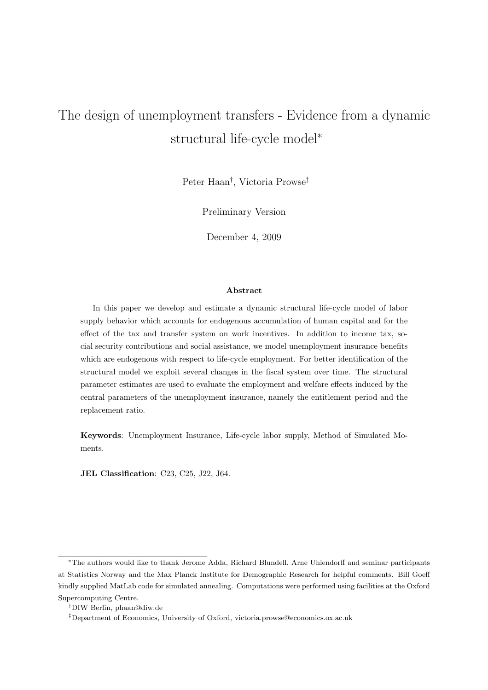# The design of unemployment transfers - Evidence from a dynamic structural life-cycle model<sup>∗</sup>

Peter Haan† , Victoria Prowse‡

Preliminary Version

December 4, 2009

## Abstract

In this paper we develop and estimate a dynamic structural life-cycle model of labor supply behavior which accounts for endogenous accumulation of human capital and for the effect of the tax and transfer system on work incentives. In addition to income tax, social security contributions and social assistance, we model unemployment insurance benefits which are endogenous with respect to life-cycle employment. For better identification of the structural model we exploit several changes in the fiscal system over time. The structural parameter estimates are used to evaluate the employment and welfare effects induced by the central parameters of the unemployment insurance, namely the entitlement period and the replacement ratio.

Keywords: Unemployment Insurance, Life-cycle labor supply, Method of Simulated Moments.

JEL Classification: C23, C25, J22, J64.

<sup>∗</sup>The authors would like to thank Jerome Adda, Richard Blundell, Arne Uhlendorff and seminar participants at Statistics Norway and the Max Planck Institute for Demographic Research for helpful comments. Bill Goeff kindly supplied MatLab code for simulated annealing. Computations were performed using facilities at the Oxford Supercomputing Centre.

<sup>†</sup>DIW Berlin, phaan@diw.de

<sup>‡</sup>Department of Economics, University of Oxford, victoria.prowse@economics.ox.ac.uk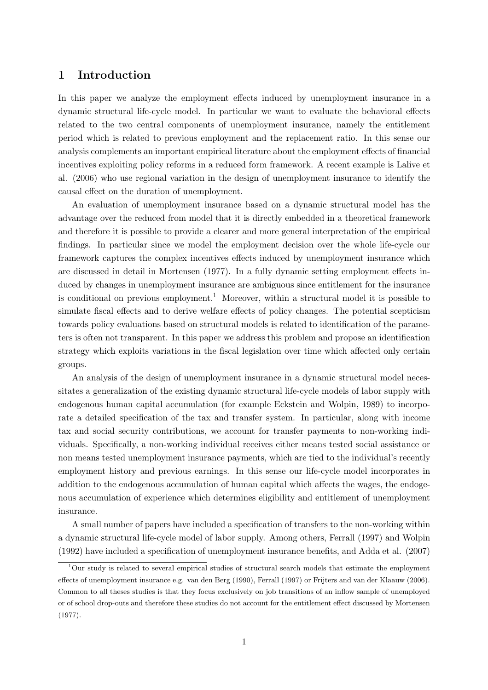# 1 Introduction

In this paper we analyze the employment effects induced by unemployment insurance in a dynamic structural life-cycle model. In particular we want to evaluate the behavioral effects related to the two central components of unemployment insurance, namely the entitlement period which is related to previous employment and the replacement ratio. In this sense our analysis complements an important empirical literature about the employment effects of financial incentives exploiting policy reforms in a reduced form framework. A recent example is Lalive et al. (2006) who use regional variation in the design of unemployment insurance to identify the causal effect on the duration of unemployment.

An evaluation of unemployment insurance based on a dynamic structural model has the advantage over the reduced from model that it is directly embedded in a theoretical framework and therefore it is possible to provide a clearer and more general interpretation of the empirical findings. In particular since we model the employment decision over the whole life-cycle our framework captures the complex incentives effects induced by unemployment insurance which are discussed in detail in Mortensen (1977). In a fully dynamic setting employment effects induced by changes in unemployment insurance are ambiguous since entitlement for the insurance is conditional on previous employment.<sup>1</sup> Moreover, within a structural model it is possible to simulate fiscal effects and to derive welfare effects of policy changes. The potential scepticism towards policy evaluations based on structural models is related to identification of the parameters is often not transparent. In this paper we address this problem and propose an identification strategy which exploits variations in the fiscal legislation over time which affected only certain groups.

An analysis of the design of unemployment insurance in a dynamic structural model necessitates a generalization of the existing dynamic structural life-cycle models of labor supply with endogenous human capital accumulation (for example Eckstein and Wolpin, 1989) to incorporate a detailed specification of the tax and transfer system. In particular, along with income tax and social security contributions, we account for transfer payments to non-working individuals. Specifically, a non-working individual receives either means tested social assistance or non means tested unemployment insurance payments, which are tied to the individual's recently employment history and previous earnings. In this sense our life-cycle model incorporates in addition to the endogenous accumulation of human capital which affects the wages, the endogenous accumulation of experience which determines eligibility and entitlement of unemployment insurance.

A small number of papers have included a specification of transfers to the non-working within a dynamic structural life-cycle model of labor supply. Among others, Ferrall (1997) and Wolpin (1992) have included a specification of unemployment insurance benefits, and Adda et al. (2007)

 $1$ Our study is related to several empirical studies of structural search models that estimate the employment effects of unemployment insurance e.g. van den Berg (1990), Ferrall (1997) or Frijters and van der Klaauw (2006). Common to all theses studies is that they focus exclusively on job transitions of an inflow sample of unemployed or of school drop-outs and therefore these studies do not account for the entitlement effect discussed by Mortensen (1977).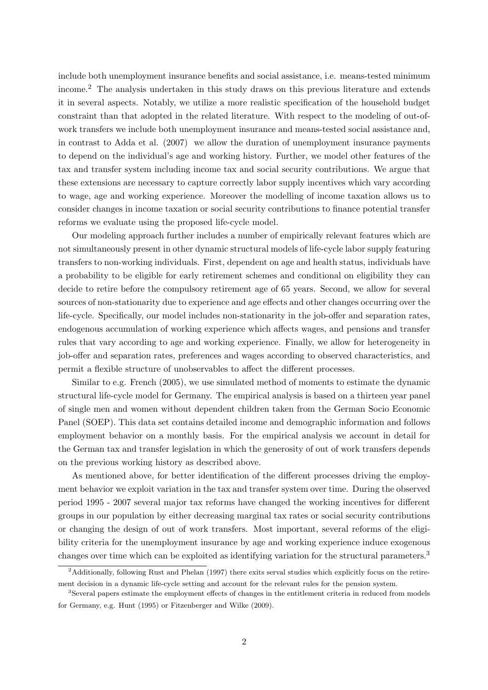include both unemployment insurance benefits and social assistance, i.e. means-tested minimum income.<sup>2</sup> The analysis undertaken in this study draws on this previous literature and extends it in several aspects. Notably, we utilize a more realistic specification of the household budget constraint than that adopted in the related literature. With respect to the modeling of out-ofwork transfers we include both unemployment insurance and means-tested social assistance and, in contrast to Adda et al. (2007) we allow the duration of unemployment insurance payments to depend on the individual's age and working history. Further, we model other features of the tax and transfer system including income tax and social security contributions. We argue that these extensions are necessary to capture correctly labor supply incentives which vary according to wage, age and working experience. Moreover the modelling of income taxation allows us to consider changes in income taxation or social security contributions to finance potential transfer reforms we evaluate using the proposed life-cycle model.

Our modeling approach further includes a number of empirically relevant features which are not simultaneously present in other dynamic structural models of life-cycle labor supply featuring transfers to non-working individuals. First, dependent on age and health status, individuals have a probability to be eligible for early retirement schemes and conditional on eligibility they can decide to retire before the compulsory retirement age of 65 years. Second, we allow for several sources of non-stationarity due to experience and age effects and other changes occurring over the life-cycle. Specifically, our model includes non-stationarity in the job-offer and separation rates, endogenous accumulation of working experience which affects wages, and pensions and transfer rules that vary according to age and working experience. Finally, we allow for heterogeneity in job-offer and separation rates, preferences and wages according to observed characteristics, and permit a flexible structure of unobservables to affect the different processes.

Similar to e.g. French (2005), we use simulated method of moments to estimate the dynamic structural life-cycle model for Germany. The empirical analysis is based on a thirteen year panel of single men and women without dependent children taken from the German Socio Economic Panel (SOEP). This data set contains detailed income and demographic information and follows employment behavior on a monthly basis. For the empirical analysis we account in detail for the German tax and transfer legislation in which the generosity of out of work transfers depends on the previous working history as described above.

As mentioned above, for better identification of the different processes driving the employment behavior we exploit variation in the tax and transfer system over time. During the observed period 1995 - 2007 several major tax reforms have changed the working incentives for different groups in our population by either decreasing marginal tax rates or social security contributions or changing the design of out of work transfers. Most important, several reforms of the eligibility criteria for the unemployment insurance by age and working experience induce exogenous changes over time which can be exploited as identifying variation for the structural parameters.<sup>3</sup>

<sup>&</sup>lt;sup>2</sup>Additionally, following Rust and Phelan (1997) there exits serval studies which explicitly focus on the retirement decision in a dynamic life-cycle setting and account for the relevant rules for the pension system.

<sup>3</sup>Several papers estimate the employment effects of changes in the entitlement criteria in reduced from models for Germany, e.g. Hunt (1995) or Fitzenberger and Wilke (2009).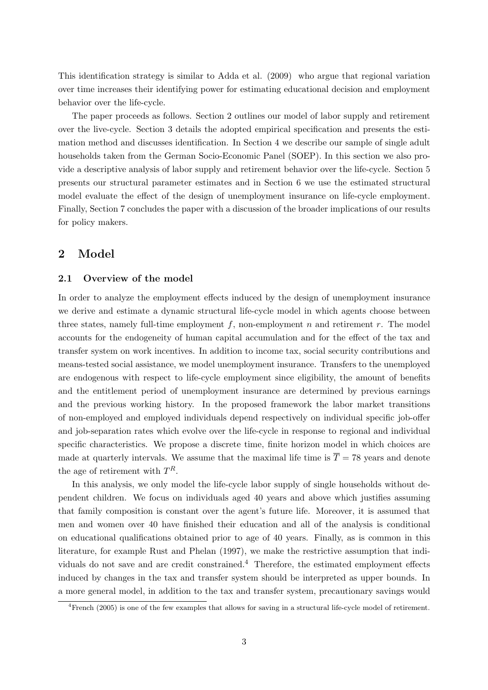This identification strategy is similar to Adda et al. (2009) who argue that regional variation over time increases their identifying power for estimating educational decision and employment behavior over the life-cycle.

The paper proceeds as follows. Section 2 outlines our model of labor supply and retirement over the live-cycle. Section 3 details the adopted empirical specification and presents the estimation method and discusses identification. In Section 4 we describe our sample of single adult households taken from the German Socio-Economic Panel (SOEP). In this section we also provide a descriptive analysis of labor supply and retirement behavior over the life-cycle. Section 5 presents our structural parameter estimates and in Section 6 we use the estimated structural model evaluate the effect of the design of unemployment insurance on life-cycle employment. Finally, Section 7 concludes the paper with a discussion of the broader implications of our results for policy makers.

# 2 Model

### 2.1 Overview of the model

In order to analyze the employment effects induced by the design of unemployment insurance we derive and estimate a dynamic structural life-cycle model in which agents choose between three states, namely full-time employment f, non-employment n and retirement  $r$ . The model accounts for the endogeneity of human capital accumulation and for the effect of the tax and transfer system on work incentives. In addition to income tax, social security contributions and means-tested social assistance, we model unemployment insurance. Transfers to the unemployed are endogenous with respect to life-cycle employment since eligibility, the amount of benefits and the entitlement period of unemployment insurance are determined by previous earnings and the previous working history. In the proposed framework the labor market transitions of non-employed and employed individuals depend respectively on individual specific job-offer and job-separation rates which evolve over the life-cycle in response to regional and individual specific characteristics. We propose a discrete time, finite horizon model in which choices are made at quarterly intervals. We assume that the maximal life time is  $\overline{T} = 78$  years and denote the age of retirement with  $T<sup>R</sup>$ .

In this analysis, we only model the life-cycle labor supply of single households without dependent children. We focus on individuals aged 40 years and above which justifies assuming that family composition is constant over the agent's future life. Moreover, it is assumed that men and women over 40 have finished their education and all of the analysis is conditional on educational qualifications obtained prior to age of 40 years. Finally, as is common in this literature, for example Rust and Phelan (1997), we make the restrictive assumption that individuals do not save and are credit constrained.<sup>4</sup> Therefore, the estimated employment effects induced by changes in the tax and transfer system should be interpreted as upper bounds. In a more general model, in addition to the tax and transfer system, precautionary savings would

<sup>4</sup>French (2005) is one of the few examples that allows for saving in a structural life-cycle model of retirement.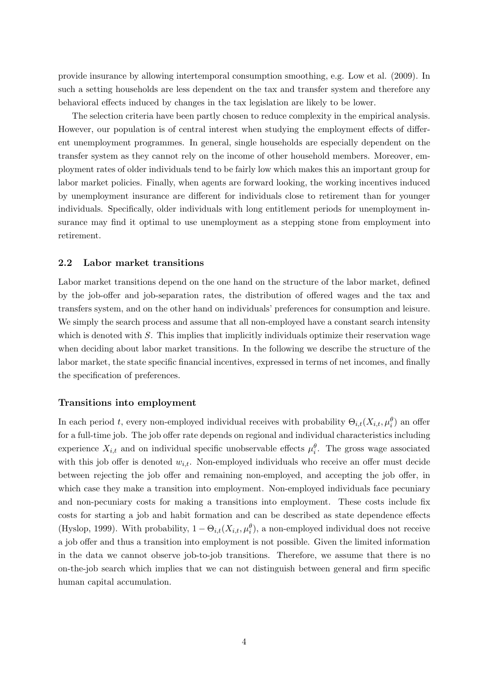provide insurance by allowing intertemporal consumption smoothing, e.g. Low et al. (2009). In such a setting households are less dependent on the tax and transfer system and therefore any behavioral effects induced by changes in the tax legislation are likely to be lower.

The selection criteria have been partly chosen to reduce complexity in the empirical analysis. However, our population is of central interest when studying the employment effects of different unemployment programmes. In general, single households are especially dependent on the transfer system as they cannot rely on the income of other household members. Moreover, employment rates of older individuals tend to be fairly low which makes this an important group for labor market policies. Finally, when agents are forward looking, the working incentives induced by unemployment insurance are different for individuals close to retirement than for younger individuals. Specifically, older individuals with long entitlement periods for unemployment insurance may find it optimal to use unemployment as a stepping stone from employment into retirement.

#### 2.2 Labor market transitions

Labor market transitions depend on the one hand on the structure of the labor market, defined by the job-offer and job-separation rates, the distribution of offered wages and the tax and transfers system, and on the other hand on individuals' preferences for consumption and leisure. We simply the search process and assume that all non-employed have a constant search intensity which is denoted with  $S$ . This implies that implicitly individuals optimize their reservation wage when deciding about labor market transitions. In the following we describe the structure of the labor market, the state specific financial incentives, expressed in terms of net incomes, and finally the specification of preferences.

#### Transitions into employment

In each period t, every non-employed individual receives with probability  $\Theta_{i,t}(X_{i,t}, \mu_i^{\theta})$  an offer for a full-time job. The job offer rate depends on regional and individual characteristics including experience  $X_{i,t}$  and on individual specific unobservable effects  $\mu_i^{\theta}$ . The gross wage associated with this job offer is denoted  $w_{i,t}$ . Non-employed individuals who receive an offer must decide between rejecting the job offer and remaining non-employed, and accepting the job offer, in which case they make a transition into employment. Non-employed individuals face pecuniary and non-pecuniary costs for making a transitions into employment. These costs include fix costs for starting a job and habit formation and can be described as state dependence effects (Hyslop, 1999). With probability,  $1 - \Theta_{i,t}(X_{i,t}, \mu_i^{\theta})$ , a non-employed individual does not receive a job offer and thus a transition into employment is not possible. Given the limited information in the data we cannot observe job-to-job transitions. Therefore, we assume that there is no on-the-job search which implies that we can not distinguish between general and firm specific human capital accumulation.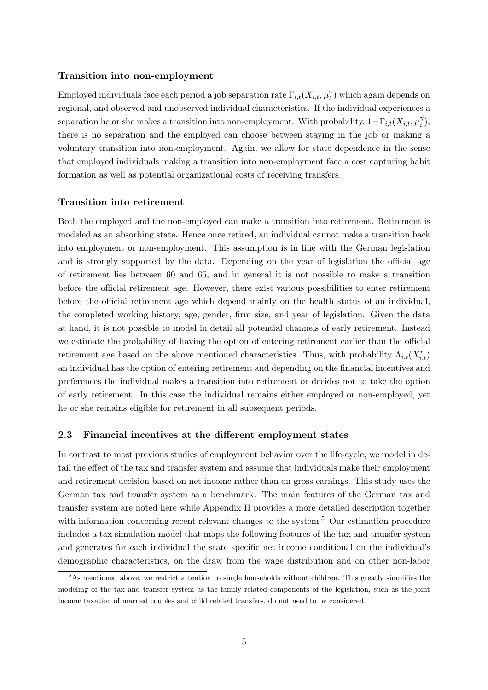## Transition into non-employment

Employed individuals face each period a job separation rate  $\Gamma_{i,t}(X_{i,t}, \mu_i^{\gamma})$  $i$ ) which again depends on regional, and observed and unobserved individual characteristics. If the individual experiences a separation he or she makes a transition into non-employment. With probability,  $1-\Gamma_{i,t}(X_{i,t},\mu_i^{\gamma})$  $_{i}^{\gamma }),$ there is no separation and the employed can choose between staying in the job or making a voluntary transition into non-employment. Again, we allow for state dependence in the sense that employed individuals making a transition into non-employment face a cost capturing habit formation as well as potential organizational costs of receiving transfers.

#### Transition into retirement

Both the employed and the non-employed can make a transition into retirement. Retirement is modeled as an absorbing state. Hence once retired, an individual cannot make a transition back into employment or non-employment. This assumption is in line with the German legislation and is strongly supported by the data. Depending on the year of legislation the official age of retirement lies between 60 and 65, and in general it is not possible to make a transition before the official retirement age. However, there exist various possibilities to enter retirement before the official retirement age which depend mainly on the health status of an individual, the completed working history, age, gender, firm size, and year of legislation. Given the data at hand, it is not possible to model in detail all potential channels of early retirement. Instead we estimate the probability of having the option of entering retirement earlier than the official retirement age based on the above mentioned characteristics. Thus, with probability  $\Lambda_{i,t}(X_{i,t}^r)$ an individual has the option of entering retirement and depending on the financial incentives and preferences the individual makes a transition into retirement or decides not to take the option of early retirement. In this case the individual remains either employed or non-employed, yet he or she remains eligible for retirement in all subsequent periods.

#### 2.3 Financial incentives at the different employment states

In contrast to most previous studies of employment behavior over the life-cycle, we model in detail the effect of the tax and transfer system and assume that individuals make their employment and retirement decision based on net income rather than on gross earnings. This study uses the German tax and transfer system as a benchmark. The main features of the German tax and transfer system are noted here while Appendix II provides a more detailed description together with information concerning recent relevant changes to the system.<sup>5</sup> Our estimation procedure includes a tax simulation model that maps the following features of the tax and transfer system and generates for each individual the state specific net income conditional on the individual's demographic characteristics, on the draw from the wage distribution and on other non-labor

<sup>&</sup>lt;sup>5</sup>As mentioned above, we restrict attention to single households without children. This greatly simplifies the modeling of the tax and transfer system as the family related components of the legislation, such as the joint income taxation of married couples and child related transfers, do not need to be considered.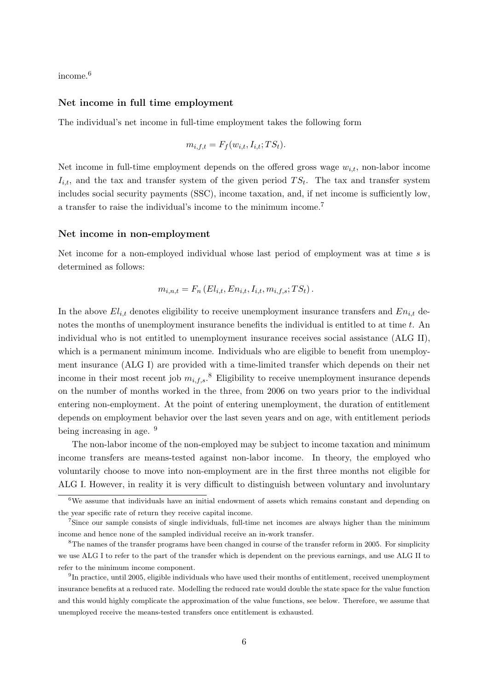income.<sup>6</sup>

#### Net income in full time employment

The individual's net income in full-time employment takes the following form

$$
m_{i,f,t} = F_f(w_{i,t}, I_{i,t}; TS_t).
$$

Net income in full-time employment depends on the offered gross wage  $w_{i,t}$ , non-labor income  $I_{i,t}$ , and the tax and transfer system of the given period  $TS_t$ . The tax and transfer system includes social security payments (SSC), income taxation, and, if net income is sufficiently low, a transfer to raise the individual's income to the minimum income.<sup>7</sup>

#### Net income in non-employment

Net income for a non-employed individual whose last period of employment was at time  $s$  is determined as follows:

$$
m_{i,n,t} = F_n(E_{i,t}, En_{i,t}, I_{i,t}, m_{i,f,s}; TS_t).
$$

In the above  $El_{i,t}$  denotes eligibility to receive unemployment insurance transfers and  $En_{i,t}$  denotes the months of unemployment insurance benefits the individual is entitled to at time  $t$ . An individual who is not entitled to unemployment insurance receives social assistance (ALG II), which is a permanent minimum income. Individuals who are eligible to benefit from unemployment insurance (ALG I) are provided with a time-limited transfer which depends on their net income in their most recent job  $m_{i,f,s}$ .<sup>8</sup> Eligibility to receive unemployment insurance depends on the number of months worked in the three, from 2006 on two years prior to the individual entering non-employment. At the point of entering unemployment, the duration of entitlement depends on employment behavior over the last seven years and on age, with entitlement periods being increasing in age. <sup>9</sup>

The non-labor income of the non-employed may be subject to income taxation and minimum income transfers are means-tested against non-labor income. In theory, the employed who voluntarily choose to move into non-employment are in the first three months not eligible for ALG I. However, in reality it is very difficult to distinguish between voluntary and involuntary

<sup>6</sup>We assume that individuals have an initial endowment of assets which remains constant and depending on the year specific rate of return they receive capital income.

<sup>7</sup>Since our sample consists of single individuals, full-time net incomes are always higher than the minimum income and hence none of the sampled individual receive an in-work transfer.

<sup>8</sup>The names of the transfer programs have been changed in course of the transfer reform in 2005. For simplicity we use ALG I to refer to the part of the transfer which is dependent on the previous earnings, and use ALG II to refer to the minimum income component.

<sup>&</sup>lt;sup>9</sup>In practice, until 2005, eligible individuals who have used their months of entitlement, received unemployment insurance benefits at a reduced rate. Modelling the reduced rate would double the state space for the value function and this would highly complicate the approximation of the value functions, see below. Therefore, we assume that unemployed receive the means-tested transfers once entitlement is exhausted.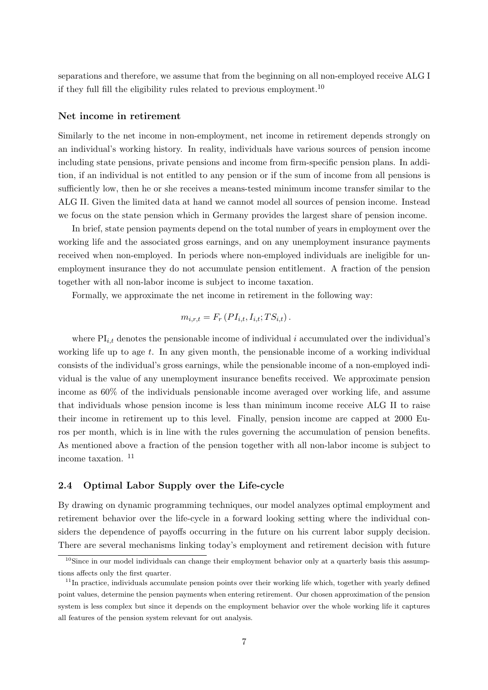separations and therefore, we assume that from the beginning on all non-employed receive ALG I if they full fill the eligibility rules related to previous employment.<sup>10</sup>

#### Net income in retirement

Similarly to the net income in non-employment, net income in retirement depends strongly on an individual's working history. In reality, individuals have various sources of pension income including state pensions, private pensions and income from firm-specific pension plans. In addition, if an individual is not entitled to any pension or if the sum of income from all pensions is sufficiently low, then he or she receives a means-tested minimum income transfer similar to the ALG II. Given the limited data at hand we cannot model all sources of pension income. Instead we focus on the state pension which in Germany provides the largest share of pension income.

In brief, state pension payments depend on the total number of years in employment over the working life and the associated gross earnings, and on any unemployment insurance payments received when non-employed. In periods where non-employed individuals are ineligible for unemployment insurance they do not accumulate pension entitlement. A fraction of the pension together with all non-labor income is subject to income taxation.

Formally, we approximate the net income in retirement in the following way:

$$
m_{i,r,t} = F_r \left( P I_{i,t}, I_{i,t}; TS_{i,t} \right).
$$

where  $\text{PI}_{i,t}$  denotes the pensionable income of individual i accumulated over the individual's working life up to age t. In any given month, the pensionable income of a working individual consists of the individual's gross earnings, while the pensionable income of a non-employed individual is the value of any unemployment insurance benefits received. We approximate pension income as 60% of the individuals pensionable income averaged over working life, and assume that individuals whose pension income is less than minimum income receive ALG II to raise their income in retirement up to this level. Finally, pension income are capped at 2000 Euros per month, which is in line with the rules governing the accumulation of pension benefits. As mentioned above a fraction of the pension together with all non-labor income is subject to income taxation. <sup>11</sup>

#### 2.4 Optimal Labor Supply over the Life-cycle

By drawing on dynamic programming techniques, our model analyzes optimal employment and retirement behavior over the life-cycle in a forward looking setting where the individual considers the dependence of payoffs occurring in the future on his current labor supply decision. There are several mechanisms linking today's employment and retirement decision with future

 $10$ Since in our model individuals can change their employment behavior only at a quarterly basis this assumptions affects only the first quarter.

 $11$ In practice, individuals accumulate pension points over their working life which, together with yearly defined point values, determine the pension payments when entering retirement. Our chosen approximation of the pension system is less complex but since it depends on the employment behavior over the whole working life it captures all features of the pension system relevant for out analysis.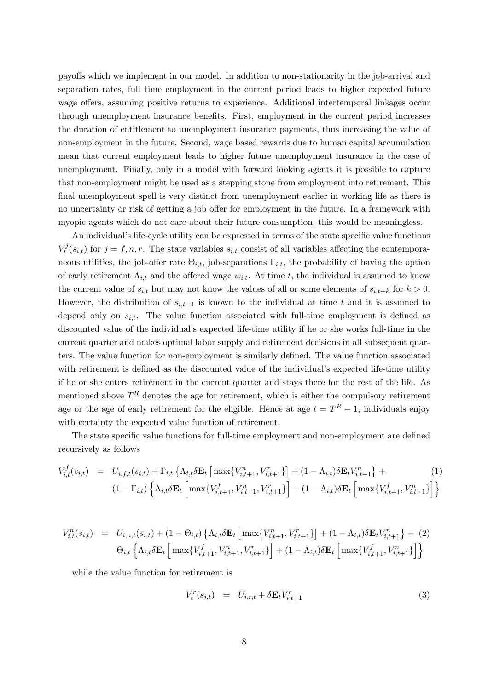payoffs which we implement in our model. In addition to non-stationarity in the job-arrival and separation rates, full time employment in the current period leads to higher expected future wage offers, assuming positive returns to experience. Additional intertemporal linkages occur through unemployment insurance benefits. First, employment in the current period increases the duration of entitlement to unemployment insurance payments, thus increasing the value of non-employment in the future. Second, wage based rewards due to human capital accumulation mean that current employment leads to higher future unemployment insurance in the case of unemployment. Finally, only in a model with forward looking agents it is possible to capture that non-employment might be used as a stepping stone from employment into retirement. This final unemployment spell is very distinct from unemployment earlier in working life as there is no uncertainty or risk of getting a job offer for employment in the future. In a framework with myopic agents which do not care about their future consumption, this would be meaningless.

An individual's life-cycle utility can be expressed in terms of the state specific value functions  $V_t^j$  $t_i^{(s)}(s_{i,t})$  for  $j = f, n, r$ . The state variables  $s_{i,t}$  consist of all variables affecting the contemporaneous utilities, the job-offer rate  $\Theta_{i,t}$ , job-separations  $\Gamma_{i,t}$ , the probability of having the option of early retirement  $\Lambda_{i,t}$  and the offered wage  $w_{i,t}$ . At time t, the individual is assumed to know the current value of  $s_{i,t}$  but may not know the values of all or some elements of  $s_{i,t+k}$  for  $k > 0$ . However, the distribution of  $s_{i,t+1}$  is known to the individual at time t and it is assumed to depend only on  $s_{i,t}$ . The value function associated with full-time employment is defined as discounted value of the individual's expected life-time utility if he or she works full-time in the current quarter and makes optimal labor supply and retirement decisions in all subsequent quarters. The value function for non-employment is similarly defined. The value function associated with retirement is defined as the discounted value of the individual's expected life-time utility if he or she enters retirement in the current quarter and stays there for the rest of the life. As mentioned above  $T^R$  denotes the age for retirement, which is either the compulsory retirement age or the age of early retirement for the eligible. Hence at age  $t = T<sup>R</sup> - 1$ , individuals enjoy with certainty the expected value function of retirement.

The state specific value functions for full-time employment and non-employment are defined recursively as follows

$$
V_{i,t}^{f}(s_{i,t}) = U_{i,f,t}(s_{i,t}) + \Gamma_{i,t} \left\{ \Lambda_{i,t} \delta \mathbf{E}_{t} \left[ \max \{ V_{i,t+1}^{n}, V_{i,t+1}^{r} \} \right] + (1 - \Lambda_{i,t}) \delta \mathbf{E}_{t} V_{i,t+1}^{n} \right\} + (1)
$$
\n
$$
(1 - \Gamma_{i,t}) \left\{ \Lambda_{i,t} \delta \mathbf{E}_{t} \left[ \max \{ V_{i,t+1}^{f}, V_{i,t+1}^{n}, V_{i,t+1}^{r} \} \right] + (1 - \Lambda_{i,t}) \delta \mathbf{E}_{t} \left[ \max \{ V_{i,t+1}^{f}, V_{i,t+1}^{n} \} \right] \right\}
$$
\n(1)

$$
V_{i,t}^{n}(s_{i,t}) = U_{i,n,t}(s_{i,t}) + (1 - \Theta_{i,t}) \left\{ \Lambda_{i,t} \delta \mathbf{E}_{t} \left[ \max \{ V_{i,t+1}^{n}, V_{i,t+1}^{r} \} \right] + (1 - \Lambda_{i,t}) \delta \mathbf{E}_{t} V_{i,t+1}^{n} \right\} + (2)
$$
  

$$
\Theta_{i,t} \left\{ \Lambda_{i,t} \delta \mathbf{E}_{t} \left[ \max \{ V_{i,t+1}^{f}, V_{i,t+1}^{n}, V_{i,t+1}^{r} \} \right] + (1 - \Lambda_{i,t}) \delta \mathbf{E}_{t} \left[ \max \{ V_{i,t+1}^{f}, V_{i,t+1}^{n} \} \right] \right\}
$$

while the value function for retirement is

$$
V_t^r(s_{i,t}) = U_{i,r,t} + \delta \mathbf{E}_t V_{i,t+1}^r
$$
\n(3)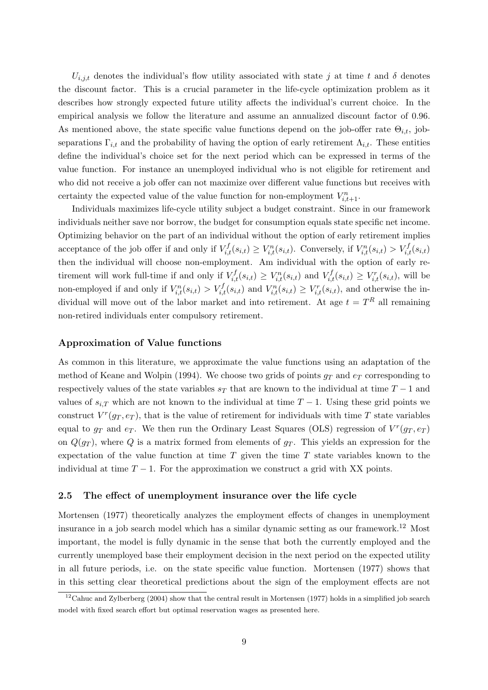$U_{i,j,t}$  denotes the individual's flow utility associated with state j at time t and  $\delta$  denotes the discount factor. This is a crucial parameter in the life-cycle optimization problem as it describes how strongly expected future utility affects the individual's current choice. In the empirical analysis we follow the literature and assume an annualized discount factor of 0.96. As mentioned above, the state specific value functions depend on the job-offer rate  $\Theta_{i,t}$ , jobseparations  $\Gamma_{i,t}$  and the probability of having the option of early retirement  $\Lambda_{i,t}$ . These entities define the individual's choice set for the next period which can be expressed in terms of the value function. For instance an unemployed individual who is not eligible for retirement and who did not receive a job offer can not maximize over different value functions but receives with certainty the expected value of the value function for non-employment  $V_{i,t+1}^n$ .

Individuals maximizes life-cycle utility subject a budget constraint. Since in our framework individuals neither save nor borrow, the budget for consumption equals state specific net income. Optimizing behavior on the part of an individual without the option of early retirement implies acceptance of the job offer if and only if  $V_{i,t}^f(s_{i,t}) \geq V_{i,t}^n(s_{i,t})$ . Conversely, if  $V_{i,t}^n(s_{i,t}) > V_{i,t}^f(s_{i,t})$ then the individual will choose non-employment. Am individual with the option of early retirement will work full-time if and only if  $V_{i,t}^f(s_{i,t}) \geq V_{i,t}^n(s_{i,t})$  and  $V_{i,t}^f(s_{i,t}) \geq V_{i,t}^r(s_{i,t})$ , will be non-employed if and only if  $V_{i,t}^n(s_{i,t}) > V_{i,t}^f(s_{i,t})$  and  $V_{i,t}^n(s_{i,t}) \geq V_{i,t}^r(s_{i,t})$ , and otherwise the individual will move out of the labor market and into retirement. At age  $t = T<sup>R</sup>$  all remaining non-retired individuals enter compulsory retirement.

#### Approximation of Value functions

As common in this literature, we approximate the value functions using an adaptation of the method of Keane and Wolpin (1994). We choose two grids of points  $g_T$  and  $e_T$  corresponding to respectively values of the state variables  $s_T$  that are known to the individual at time  $T-1$  and values of  $s_{i,T}$  which are not known to the individual at time  $T-1$ . Using these grid points we construct  $V^r(g_T, e_T)$ , that is the value of retirement for individuals with time T state variables equal to  $g_T$  and  $e_T$ . We then run the Ordinary Least Squares (OLS) regression of  $V^r(g_T, e_T)$ on  $Q(g_T)$ , where Q is a matrix formed from elements of  $g_T$ . This yields an expression for the expectation of the value function at time  $T$  given the time  $T$  state variables known to the individual at time  $T - 1$ . For the approximation we construct a grid with XX points.

#### 2.5 The effect of unemployment insurance over the life cycle

Mortensen (1977) theoretically analyzes the employment effects of changes in unemployment insurance in a job search model which has a similar dynamic setting as our framework.<sup>12</sup> Most important, the model is fully dynamic in the sense that both the currently employed and the currently unemployed base their employment decision in the next period on the expected utility in all future periods, i.e. on the state specific value function. Mortensen (1977) shows that in this setting clear theoretical predictions about the sign of the employment effects are not

<sup>&</sup>lt;sup>12</sup>Cahuc and Zylberberg (2004) show that the central result in Mortensen (1977) holds in a simplified job search model with fixed search effort but optimal reservation wages as presented here.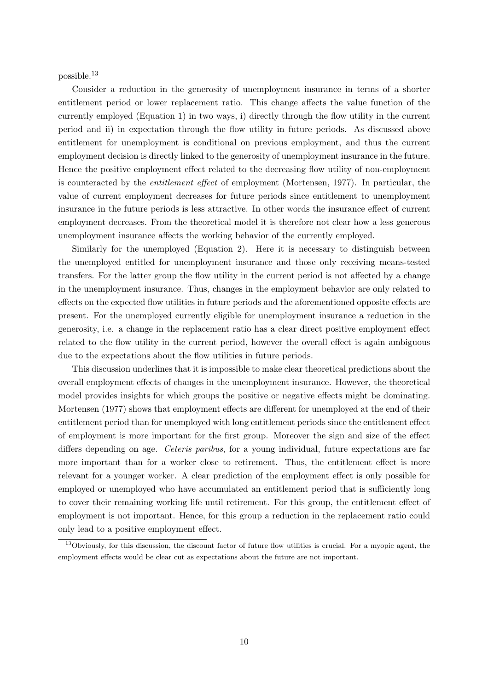possible.<sup>13</sup>

Consider a reduction in the generosity of unemployment insurance in terms of a shorter entitlement period or lower replacement ratio. This change affects the value function of the currently employed (Equation 1) in two ways, i) directly through the flow utility in the current period and ii) in expectation through the flow utility in future periods. As discussed above entitlement for unemployment is conditional on previous employment, and thus the current employment decision is directly linked to the generosity of unemployment insurance in the future. Hence the positive employment effect related to the decreasing flow utility of non-employment is counteracted by the entitlement effect of employment (Mortensen, 1977). In particular, the value of current employment decreases for future periods since entitlement to unemployment insurance in the future periods is less attractive. In other words the insurance effect of current employment decreases. From the theoretical model it is therefore not clear how a less generous unemployment insurance affects the working behavior of the currently employed.

Similarly for the unemployed (Equation 2). Here it is necessary to distinguish between the unemployed entitled for unemployment insurance and those only receiving means-tested transfers. For the latter group the flow utility in the current period is not affected by a change in the unemployment insurance. Thus, changes in the employment behavior are only related to effects on the expected flow utilities in future periods and the aforementioned opposite effects are present. For the unemployed currently eligible for unemployment insurance a reduction in the generosity, i.e. a change in the replacement ratio has a clear direct positive employment effect related to the flow utility in the current period, however the overall effect is again ambiguous due to the expectations about the flow utilities in future periods.

This discussion underlines that it is impossible to make clear theoretical predictions about the overall employment effects of changes in the unemployment insurance. However, the theoretical model provides insights for which groups the positive or negative effects might be dominating. Mortensen (1977) shows that employment effects are different for unemployed at the end of their entitlement period than for unemployed with long entitlement periods since the entitlement effect of employment is more important for the first group. Moreover the sign and size of the effect differs depending on age. Ceteris paribus, for a young individual, future expectations are far more important than for a worker close to retirement. Thus, the entitlement effect is more relevant for a younger worker. A clear prediction of the employment effect is only possible for employed or unemployed who have accumulated an entitlement period that is sufficiently long to cover their remaining working life until retirement. For this group, the entitlement effect of employment is not important. Hence, for this group a reduction in the replacement ratio could only lead to a positive employment effect.

<sup>&</sup>lt;sup>13</sup>Obviously, for this discussion, the discount factor of future flow utilities is crucial. For a myopic agent, the employment effects would be clear cut as expectations about the future are not important.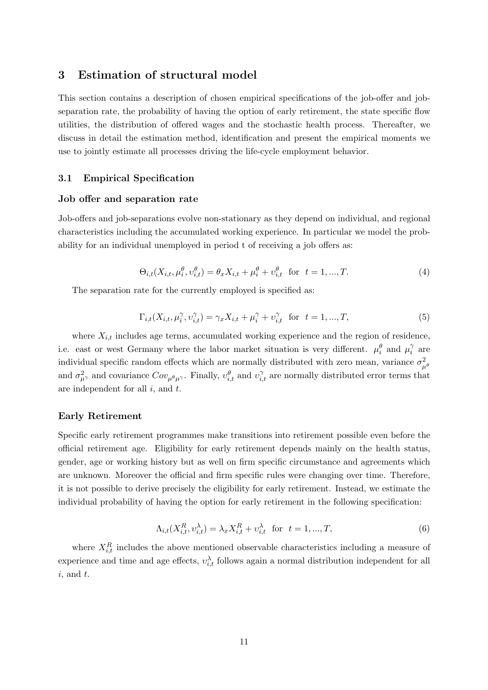# 3 Estimation of structural model

This section contains a description of chosen empirical specifications of the job-offer and jobseparation rate, the probability of having the option of early retirement, the state specific flow utilities, the distribution of offered wages and the stochastic health process. Thereafter, we discuss in detail the estimation method, identification and present the empirical moments we use to jointly estimate all processes driving the life-cycle employment behavior.

# 3.1 Empirical Specification

#### Job offer and separation rate

Job-offers and job-separations evolve non-stationary as they depend on individual, and regional characteristics including the accumulated working experience. In particular we model the probability for an individual unemployed in period t of receiving a job offers as:

$$
\Theta_{i,t}(X_{i,t}, \mu_i^{\theta}, v_{i,t}^{\theta}) = \theta_x X_{i,t} + \mu_i^{\theta} + v_{i,t}^{\theta} \text{ for } t = 1, ..., T.
$$
 (4)

The separation rate for the currently employed is specified as:

$$
\Gamma_{i,t}(X_{i,t}, \mu_i^{\gamma}, \nu_{i,t}^{\gamma}) = \gamma_x X_{i,t} + \mu_i^{\gamma} + \nu_{i,t}^{\gamma} \text{ for } t = 1, ..., T,
$$
\n(5)

where  $X_{i,t}$  includes age terms, accumulated working experience and the region of residence, i.e. east or west Germany where the labor market situation is very different.  $\mu_i^{\theta}$  and  $\mu_i^{\gamma}$  $\int\limits_i^{\gamma}$  are individual specific random effects which are normally distributed with zero mean, variance  $\sigma_{\mu^{\theta}}^2$ and  $\sigma_{\mu}^2$  and covariance  $Cov_{\mu}^{\ \ \rho}\mu^{\gamma}$ . Finally,  $v_{i,t}^{\theta}$  and  $v_{i,t}^{\gamma}$  are normally distributed error terms that are independent for all  $i$ , and  $t$ .

## Early Retirement

Specific early retirement programmes make transitions into retirement possible even before the official retirement age. Eligibility for early retirement depends mainly on the health status, gender, age or working history but as well on firm specific circumstance and agreements which are unknown. Moreover the official and firm specific rules were changing over time. Therefore, it is not possible to derive precisely the eligibility for early retirement. Instead, we estimate the individual probability of having the option for early retirement in the following specification:

$$
\Lambda_{i,t}(X_{i,t}^R, v_{i,t}^\lambda) = \lambda_x X_{i,t}^R + v_{i,t}^\lambda \text{ for } t = 1, ..., T,
$$
\n(6)

where  $X_{i,t}^R$  includes the above mentioned observable characteristics including a measure of experience and time and age effects,  $v_{i,t}^{\lambda}$  follows again a normal distribution independent for all  $i$ , and  $t$ .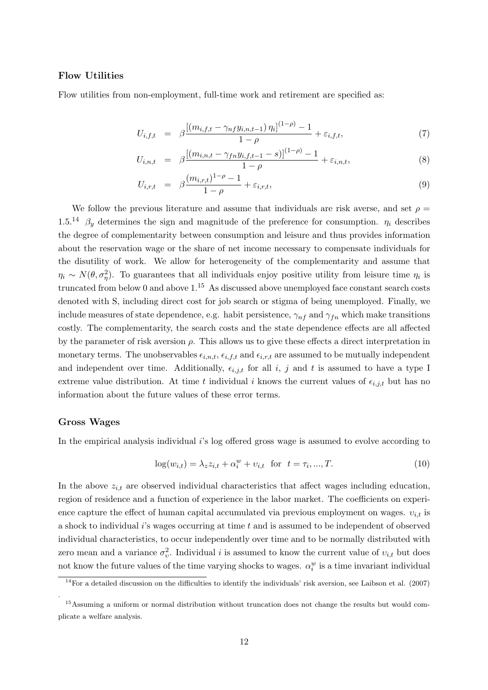# Flow Utilities

Flow utilities from non-employment, full-time work and retirement are specified as:

$$
U_{i,f,t} = \beta \frac{\left[ (m_{i,f,t} - \gamma_{nf} y_{i,n,t-1}) \eta_i \right]^{(1-\rho)} - 1}{1-\rho} + \varepsilon_{i,f,t},\tag{7}
$$

$$
U_{i,n,t} = \beta \frac{\left[ (m_{i,n,t} - \gamma_{fn} y_{i,f,t-1} - s) \right]^{(1-\rho)} - 1}{1-\rho} + \varepsilon_{i,n,t},\tag{8}
$$

$$
U_{i,r,t} = \beta \frac{(m_{i,r,t})^{1-\rho} - 1}{1-\rho} + \varepsilon_{i,r,t},
$$
\n(9)

We follow the previous literature and assume that individuals are risk averse, and set  $\rho =$ 1.5.<sup>14</sup>  $\beta_y$  determines the sign and magnitude of the preference for consumption.  $\eta_i$  describes the degree of complementarity between consumption and leisure and thus provides information about the reservation wage or the share of net income necessary to compensate individuals for the disutility of work. We allow for heterogeneity of the complementarity and assume that  $\eta_i \sim N(\theta, \sigma_{\eta}^2)$ . To guarantees that all individuals enjoy positive utility from leisure time  $\eta_i$  is truncated from below 0 and above  $1<sup>15</sup>$  As discussed above unemployed face constant search costs denoted with S, including direct cost for job search or stigma of being unemployed. Finally, we include measures of state dependence, e.g. habit persistence,  $\gamma_{nf}$  and  $\gamma_{fn}$  which make transitions costly. The complementarity, the search costs and the state dependence effects are all affected by the parameter of risk aversion  $\rho$ . This allows us to give these effects a direct interpretation in monetary terms. The unobservables  $\epsilon_{i,n,t}$ ,  $\epsilon_{i,f,t}$  and  $\epsilon_{i,r,t}$  are assumed to be mutually independent and independent over time. Additionally,  $\epsilon_{i,j,t}$  for all i, j and t is assumed to have a type I extreme value distribution. At time t individual i knows the current values of  $\epsilon_{i,j,t}$  but has no information about the future values of these error terms.

#### Gross Wages

.

In the empirical analysis individual is log offered gross wage is assumed to evolve according to

$$
\log(w_{i,t}) = \lambda_z z_{i,t} + \alpha_i^w + v_{i,t} \text{ for } t = \tau_i, ..., T.
$$
 (10)

In the above  $z_{i,t}$  are observed individual characteristics that affect wages including education, region of residence and a function of experience in the labor market. The coefficients on experience capture the effect of human capital accumulated via previous employment on wages.  $v_{i,t}$  is a shock to individual  $i$ 's wages occurring at time  $t$  and is assumed to be independent of observed individual characteristics, to occur independently over time and to be normally distributed with zero mean and a variance  $\sigma_v^2$ . Individual i is assumed to know the current value of  $v_{i,t}$  but does not know the future values of the time varying shocks to wages.  $\alpha_i^w$  is a time invariant individual

 $14$  For a detailed discussion on the difficulties to identify the individuals' risk aversion, see Laibson et al. (2007)

<sup>&</sup>lt;sup>15</sup>Assuming a uniform or normal distribution without truncation does not change the results but would complicate a welfare analysis.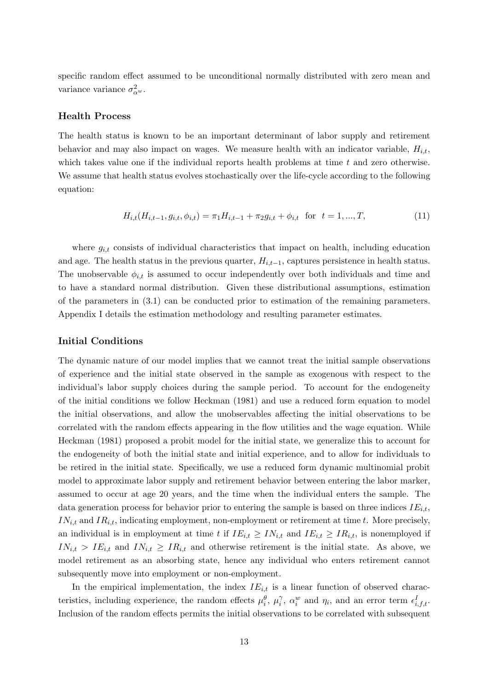specific random effect assumed to be unconditional normally distributed with zero mean and variance variance  $\sigma_{\alpha^w}^2$ .

### Health Process

The health status is known to be an important determinant of labor supply and retirement behavior and may also impact on wages. We measure health with an indicator variable,  $H_{i,t}$ , which takes value one if the individual reports health problems at time  $t$  and zero otherwise. We assume that health status evolves stochastically over the life-cycle according to the following equation:

$$
H_{i,t}(H_{i,t-1}, g_{i,t}, \phi_{i,t}) = \pi_1 H_{i,t-1} + \pi_2 g_{i,t} + \phi_{i,t} \text{ for } t = 1, ..., T,
$$
\n(11)

where  $g_{i,t}$  consists of individual characteristics that impact on health, including education and age. The health status in the previous quarter,  $H_{i,t-1}$ , captures persistence in health status. The unobservable  $\phi_{i,t}$  is assumed to occur independently over both individuals and time and to have a standard normal distribution. Given these distributional assumptions, estimation of the parameters in (3.1) can be conducted prior to estimation of the remaining parameters. Appendix I details the estimation methodology and resulting parameter estimates.

#### Initial Conditions

The dynamic nature of our model implies that we cannot treat the initial sample observations of experience and the initial state observed in the sample as exogenous with respect to the individual's labor supply choices during the sample period. To account for the endogeneity of the initial conditions we follow Heckman (1981) and use a reduced form equation to model the initial observations, and allow the unobservables affecting the initial observations to be correlated with the random effects appearing in the flow utilities and the wage equation. While Heckman (1981) proposed a probit model for the initial state, we generalize this to account for the endogeneity of both the initial state and initial experience, and to allow for individuals to be retired in the initial state. Specifically, we use a reduced form dynamic multinomial probit model to approximate labor supply and retirement behavior between entering the labor marker, assumed to occur at age 20 years, and the time when the individual enters the sample. The data generation process for behavior prior to entering the sample is based on three indices  $IE_{i,t}$ ,  $IN_{i,t}$  and  $IR_{i,t}$ , indicating employment, non-employment or retirement at time t. More precisely, an individual is in employment at time t if  $IE_{i,t} \geq IN_{i,t}$  and  $IE_{i,t} \geq IR_{i,t}$ , is nonemployed if  $IN_{i,t} > IE_{i,t}$  and  $IN_{i,t} \geq IR_{i,t}$  and otherwise retirement is the initial state. As above, we model retirement as an absorbing state, hence any individual who enters retirement cannot subsequently move into employment or non-employment.

In the empirical implementation, the index  $IE_{i,t}$  is a linear function of observed characteristics, including experience, the random effects  $\mu_i^{\theta}$ ,  $\mu_i^{\gamma}$  $\hat{a}_i^{\gamma}$ ,  $\alpha_i^w$  and  $\eta_i$ , and an error term  $\epsilon_{i,f,t}^I$ . Inclusion of the random effects permits the initial observations to be correlated with subsequent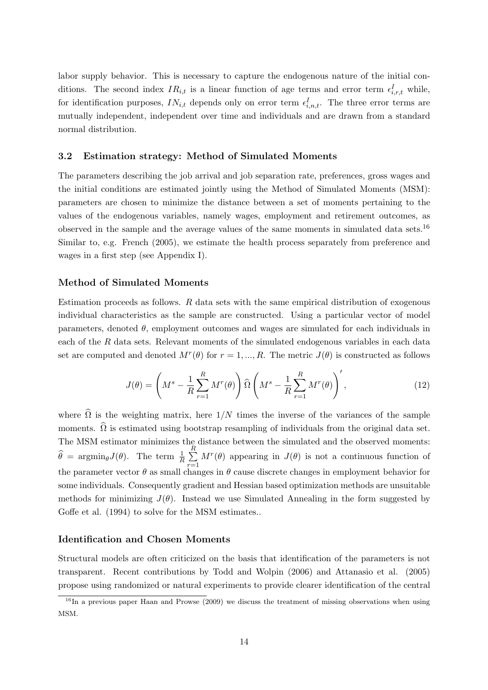labor supply behavior. This is necessary to capture the endogenous nature of the initial conditions. The second index  $IR_{i,t}$  is a linear function of age terms and error term  $\epsilon_{i,r,t}^I$  while, for identification purposes,  $IN_{i,t}$  depends only on error term  $\epsilon_{i,n,t}^I$ . The three error terms are mutually independent, independent over time and individuals and are drawn from a standard normal distribution.

# 3.2 Estimation strategy: Method of Simulated Moments

The parameters describing the job arrival and job separation rate, preferences, gross wages and the initial conditions are estimated jointly using the Method of Simulated Moments (MSM): parameters are chosen to minimize the distance between a set of moments pertaining to the values of the endogenous variables, namely wages, employment and retirement outcomes, as observed in the sample and the average values of the same moments in simulated data sets.<sup>16</sup> Similar to, e.g. French (2005), we estimate the health process separately from preference and wages in a first step (see Appendix I).

#### Method of Simulated Moments

Estimation proceeds as follows. R data sets with the same empirical distribution of exogenous individual characteristics as the sample are constructed. Using a particular vector of model parameters, denoted  $\theta$ , employment outcomes and wages are simulated for each individuals in each of the R data sets. Relevant moments of the simulated endogenous variables in each data set are computed and denoted  $M^r(\theta)$  for  $r = 1, ..., R$ . The metric  $J(\theta)$  is constructed as follows

$$
J(\theta) = \left(M^s - \frac{1}{R} \sum_{r=1}^R M^r(\theta)\right) \widehat{\Omega}\left(M^s - \frac{1}{R} \sum_{r=1}^R M^r(\theta)\right)',\tag{12}
$$

where  $\widehat{\Omega}$  is the weighting matrix, here  $1/N$  times the inverse of the variances of the sample moments.  $\widehat{\Omega}$  is estimated using bootstrap resampling of individuals from the original data set. The MSM estimator minimizes the distance between the simulated and the observed moments:  $\widehat{\theta} = \operatorname{argmin}_{\theta} J(\theta)$ . The term  $\frac{1}{R}$  $\frac{R}{\sqrt{2}}$  $r=1$  $M^r(\theta)$  appearing in  $J(\theta)$  is not a continuous function of the parameter vector  $\theta$  as small changes in  $\theta$  cause discrete changes in employment behavior for some individuals. Consequently gradient and Hessian based optimization methods are unsuitable methods for minimizing  $J(\theta)$ . Instead we use Simulated Annealing in the form suggested by Goffe et al. (1994) to solve for the MSM estimates..

#### Identification and Chosen Moments

Structural models are often criticized on the basis that identification of the parameters is not transparent. Recent contributions by Todd and Wolpin (2006) and Attanasio et al. (2005) propose using randomized or natural experiments to provide clearer identification of the central

 $16$ In a previous paper Haan and Prowse (2009) we discuss the treatment of missing observations when using MSM.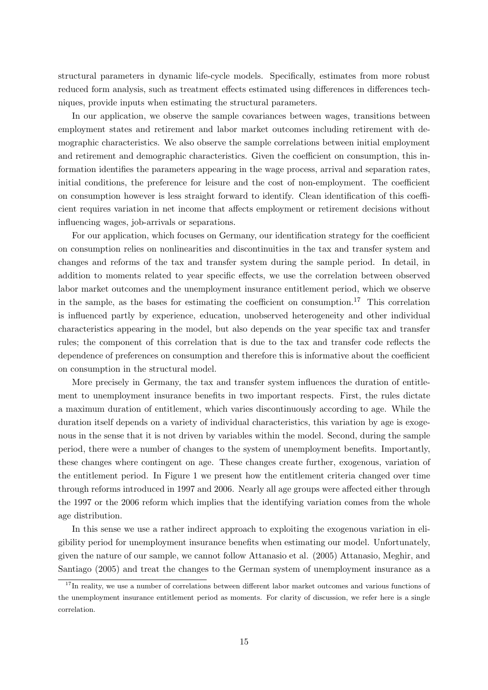structural parameters in dynamic life-cycle models. Specifically, estimates from more robust reduced form analysis, such as treatment effects estimated using differences in differences techniques, provide inputs when estimating the structural parameters.

In our application, we observe the sample covariances between wages, transitions between employment states and retirement and labor market outcomes including retirement with demographic characteristics. We also observe the sample correlations between initial employment and retirement and demographic characteristics. Given the coefficient on consumption, this information identifies the parameters appearing in the wage process, arrival and separation rates, initial conditions, the preference for leisure and the cost of non-employment. The coefficient on consumption however is less straight forward to identify. Clean identification of this coefficient requires variation in net income that affects employment or retirement decisions without influencing wages, job-arrivals or separations.

For our application, which focuses on Germany, our identification strategy for the coefficient on consumption relies on nonlinearities and discontinuities in the tax and transfer system and changes and reforms of the tax and transfer system during the sample period. In detail, in addition to moments related to year specific effects, we use the correlation between observed labor market outcomes and the unemployment insurance entitlement period, which we observe in the sample, as the bases for estimating the coefficient on consumption.<sup>17</sup> This correlation is influenced partly by experience, education, unobserved heterogeneity and other individual characteristics appearing in the model, but also depends on the year specific tax and transfer rules; the component of this correlation that is due to the tax and transfer code reflects the dependence of preferences on consumption and therefore this is informative about the coefficient on consumption in the structural model.

More precisely in Germany, the tax and transfer system influences the duration of entitlement to unemployment insurance benefits in two important respects. First, the rules dictate a maximum duration of entitlement, which varies discontinuously according to age. While the duration itself depends on a variety of individual characteristics, this variation by age is exogenous in the sense that it is not driven by variables within the model. Second, during the sample period, there were a number of changes to the system of unemployment benefits. Importantly, these changes where contingent on age. These changes create further, exogenous, variation of the entitlement period. In Figure 1 we present how the entitlement criteria changed over time through reforms introduced in 1997 and 2006. Nearly all age groups were affected either through the 1997 or the 2006 reform which implies that the identifying variation comes from the whole age distribution.

In this sense we use a rather indirect approach to exploiting the exogenous variation in eligibility period for unemployment insurance benefits when estimating our model. Unfortunately, given the nature of our sample, we cannot follow Attanasio et al. (2005) Attanasio, Meghir, and Santiago (2005) and treat the changes to the German system of unemployment insurance as a

<sup>&</sup>lt;sup>17</sup>In reality, we use a number of correlations between different labor market outcomes and various functions of the unemployment insurance entitlement period as moments. For clarity of discussion, we refer here is a single correlation.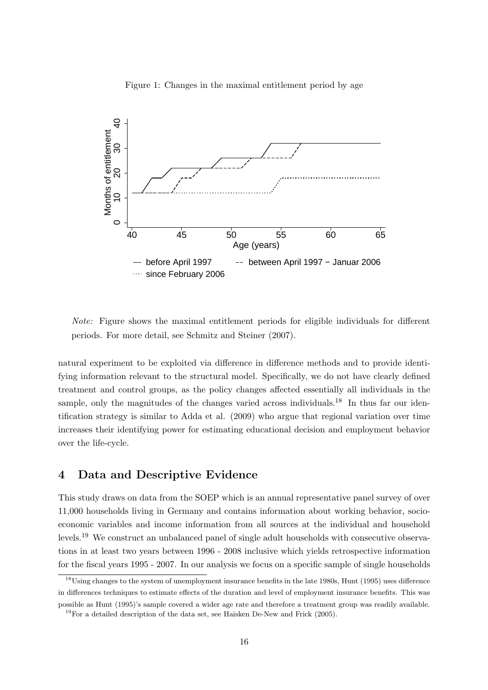

Figure 1: Changes in the maximal entitlement period by age

Note: Figure shows the maximal entitlement periods for eligible individuals for different periods. For more detail, see Schmitz and Steiner (2007).

natural experiment to be exploited via difference in difference methods and to provide identifying information relevant to the structural model. Specifically, we do not have clearly defined treatment and control groups, as the policy changes affected essentially all individuals in the sample, only the magnitudes of the changes varied across individuals.<sup>18</sup> In thus far our identification strategy is similar to Adda et al. (2009) who argue that regional variation over time increases their identifying power for estimating educational decision and employment behavior over the life-cycle.

# 4 Data and Descriptive Evidence

This study draws on data from the SOEP which is an annual representative panel survey of over 11,000 households living in Germany and contains information about working behavior, socioeconomic variables and income information from all sources at the individual and household levels.<sup>19</sup> We construct an unbalanced panel of single adult households with consecutive observations in at least two years between 1996 - 2008 inclusive which yields retrospective information for the fiscal years 1995 - 2007. In our analysis we focus on a specific sample of single households

<sup>&</sup>lt;sup>18</sup>Using changes to the system of unemployment insurance benefits in the late 1980s, Hunt (1995) uses difference in differences techniques to estimate effects of the duration and level of employment insurance benefits. This was possible as Hunt (1995)'s sample covered a wider age rate and therefore a treatment group was readily available.

 $19$ For a detailed description of the data set, see Haisken De-New and Frick (2005).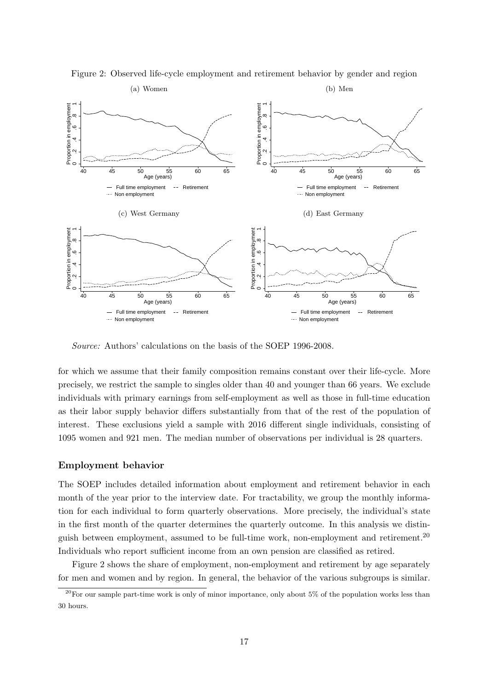

Figure 2: Observed life-cycle employment and retirement behavior by gender and region

Source: Authors' calculations on the basis of the SOEP 1996-2008.

for which we assume that their family composition remains constant over their life-cycle. More precisely, we restrict the sample to singles older than 40 and younger than 66 years. We exclude individuals with primary earnings from self-employment as well as those in full-time education as their labor supply behavior differs substantially from that of the rest of the population of interest. These exclusions yield a sample with 2016 different single individuals, consisting of 1095 women and 921 men. The median number of observations per individual is 28 quarters.

## Employment behavior

The SOEP includes detailed information about employment and retirement behavior in each month of the year prior to the interview date. For tractability, we group the monthly information for each individual to form quarterly observations. More precisely, the individual's state in the first month of the quarter determines the quarterly outcome. In this analysis we distinguish between employment, assumed to be full-time work, non-employment and retirement.<sup>20</sup> Individuals who report sufficient income from an own pension are classified as retired.

Figure 2 shows the share of employment, non-employment and retirement by age separately for men and women and by region. In general, the behavior of the various subgroups is similar.

 $\frac{20}{20}$  For our sample part-time work is only of minor importance, only about 5% of the population works less than 30 hours.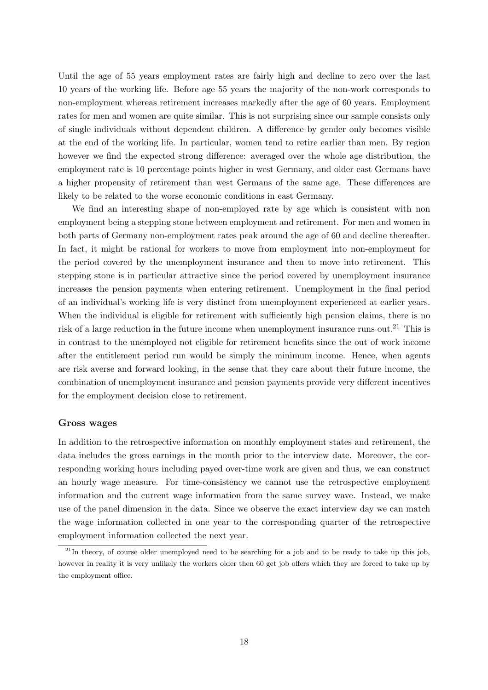Until the age of 55 years employment rates are fairly high and decline to zero over the last 10 years of the working life. Before age 55 years the majority of the non-work corresponds to non-employment whereas retirement increases markedly after the age of 60 years. Employment rates for men and women are quite similar. This is not surprising since our sample consists only of single individuals without dependent children. A difference by gender only becomes visible at the end of the working life. In particular, women tend to retire earlier than men. By region however we find the expected strong difference: averaged over the whole age distribution, the employment rate is 10 percentage points higher in west Germany, and older east Germans have a higher propensity of retirement than west Germans of the same age. These differences are likely to be related to the worse economic conditions in east Germany.

We find an interesting shape of non-employed rate by age which is consistent with non employment being a stepping stone between employment and retirement. For men and women in both parts of Germany non-employment rates peak around the age of 60 and decline thereafter. In fact, it might be rational for workers to move from employment into non-employment for the period covered by the unemployment insurance and then to move into retirement. This stepping stone is in particular attractive since the period covered by unemployment insurance increases the pension payments when entering retirement. Unemployment in the final period of an individual's working life is very distinct from unemployment experienced at earlier years. When the individual is eligible for retirement with sufficiently high pension claims, there is no risk of a large reduction in the future income when unemployment insurance runs out.<sup>21</sup> This is in contrast to the unemployed not eligible for retirement benefits since the out of work income after the entitlement period run would be simply the minimum income. Hence, when agents are risk averse and forward looking, in the sense that they care about their future income, the combination of unemployment insurance and pension payments provide very different incentives for the employment decision close to retirement.

#### Gross wages

In addition to the retrospective information on monthly employment states and retirement, the data includes the gross earnings in the month prior to the interview date. Moreover, the corresponding working hours including payed over-time work are given and thus, we can construct an hourly wage measure. For time-consistency we cannot use the retrospective employment information and the current wage information from the same survey wave. Instead, we make use of the panel dimension in the data. Since we observe the exact interview day we can match the wage information collected in one year to the corresponding quarter of the retrospective employment information collected the next year.

 $^{21}$ In theory, of course older unemployed need to be searching for a job and to be ready to take up this job, however in reality it is very unlikely the workers older then 60 get job offers which they are forced to take up by the employment office.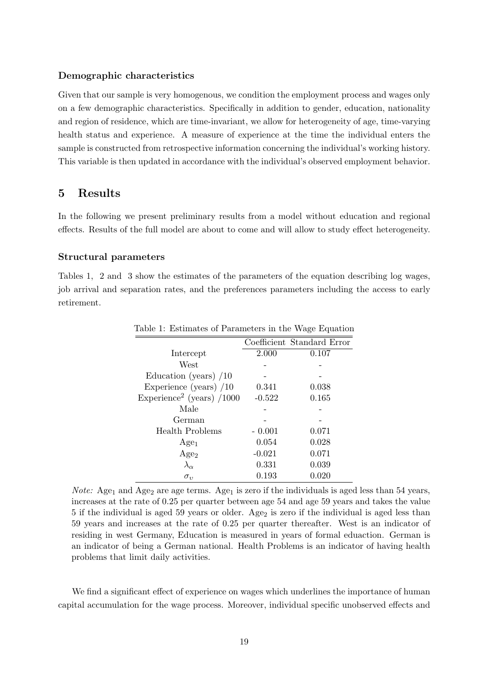## Demographic characteristics

Given that our sample is very homogenous, we condition the employment process and wages only on a few demographic characteristics. Specifically in addition to gender, education, nationality and region of residence, which are time-invariant, we allow for heterogeneity of age, time-varying health status and experience. A measure of experience at the time the individual enters the sample is constructed from retrospective information concerning the individual's working history. This variable is then updated in accordance with the individual's observed employment behavior.

# 5 Results

In the following we present preliminary results from a model without education and regional effects. Results of the full model are about to come and will allow to study effect heterogeneity.

#### Structural parameters

Tables 1, 2 and 3 show the estimates of the parameters of the equation describing log wages, job arrival and separation rates, and the preferences parameters including the access to early retirement.

|                                       |          | Coefficient Standard Error |
|---------------------------------------|----------|----------------------------|
| Intercept                             | 2.000    | 0.107                      |
| West                                  |          |                            |
| Education (years) $/10$               |          |                            |
| Experience (years) $/10$              | 0.341    | 0.038                      |
| Experience <sup>2</sup> (years) /1000 | $-0.522$ | 0.165                      |
| Male                                  |          |                            |
| German                                |          |                            |
| Health Problems                       | $-0.001$ | 0.071                      |
| Age <sub>1</sub>                      | 0.054    | 0.028                      |
| Age <sub>2</sub>                      | $-0.021$ | 0.071                      |
| $\lambda_{\alpha}$                    | 0.331    | 0.039                      |
| $\sigma_{\nu}$                        | 0.193    | 0.020                      |

Table 1: Estimates of Parameters in the Wage Equation

*Note:* Age<sub>1</sub> and Age<sub>2</sub> are age terms. Age<sub>1</sub> is zero if the individuals is aged less than 54 years, increases at the rate of 0.25 per quarter between age 54 and age 59 years and takes the value 5 if the individual is aged 59 years or older. Age<sub>2</sub> is zero if the individual is aged less than 59 years and increases at the rate of 0.25 per quarter thereafter. West is an indicator of residing in west Germany, Education is measured in years of formal eduaction. German is an indicator of being a German national. Health Problems is an indicator of having health problems that limit daily activities.

We find a significant effect of experience on wages which underlines the importance of human capital accumulation for the wage process. Moreover, individual specific unobserved effects and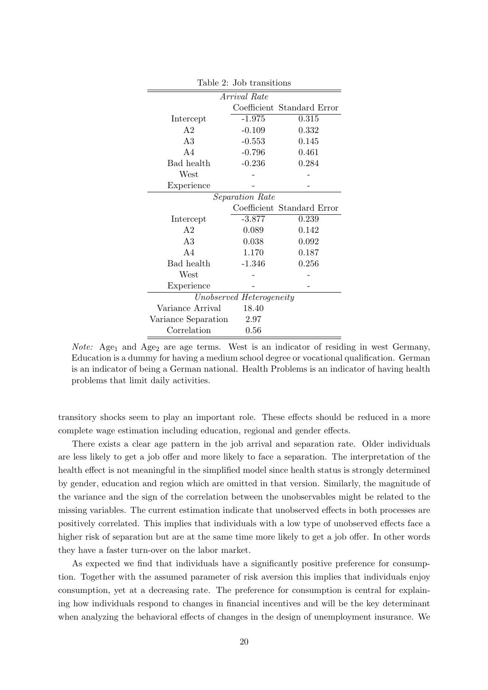|                          | Arrival Rate    |                            |  |  |  |
|--------------------------|-----------------|----------------------------|--|--|--|
|                          |                 | Coefficient Standard Error |  |  |  |
| Intercept                | $-1.975$        | 0.315                      |  |  |  |
| A <sub>2</sub>           | $-0.109$        | 0.332                      |  |  |  |
| A3                       | $-0.553$        | 0.145                      |  |  |  |
| AA                       | $-0.796$        | 0.461                      |  |  |  |
| Bad health               | $-0.236$        | 0.284                      |  |  |  |
| West                     |                 |                            |  |  |  |
| Experience               |                 |                            |  |  |  |
|                          | Separation Rate |                            |  |  |  |
|                          |                 | Coefficient Standard Error |  |  |  |
| Intercept                | $-3.877$        | 0.239                      |  |  |  |
| A <sub>2</sub>           | 0.089           | 0.142                      |  |  |  |
| A3                       | 0.038           | 0.092                      |  |  |  |
| AA                       | 1.170           | 0.187                      |  |  |  |
| Bad health               | $-1.346$        | 0.256                      |  |  |  |
| West                     |                 |                            |  |  |  |
| Experience               |                 |                            |  |  |  |
| Unobserved Heterogeneity |                 |                            |  |  |  |
| Variance Arrival         | 18.40           |                            |  |  |  |
| Variance Separation      | 2.97            |                            |  |  |  |
| Correlation              | 0.56            |                            |  |  |  |

Table 2: Job transitions

*Note:* Age<sub>1</sub> and Age<sub>2</sub> are age terms. West is an indicator of residing in west Germany, Education is a dummy for having a medium school degree or vocational qualification. German is an indicator of being a German national. Health Problems is an indicator of having health problems that limit daily activities.

transitory shocks seem to play an important role. These effects should be reduced in a more complete wage estimation including education, regional and gender effects.

There exists a clear age pattern in the job arrival and separation rate. Older individuals are less likely to get a job offer and more likely to face a separation. The interpretation of the health effect is not meaningful in the simplified model since health status is strongly determined by gender, education and region which are omitted in that version. Similarly, the magnitude of the variance and the sign of the correlation between the unobservables might be related to the missing variables. The current estimation indicate that unobserved effects in both processes are positively correlated. This implies that individuals with a low type of unobserved effects face a higher risk of separation but are at the same time more likely to get a job offer. In other words they have a faster turn-over on the labor market.

As expected we find that individuals have a significantly positive preference for consumption. Together with the assumed parameter of risk aversion this implies that individuals enjoy consumption, yet at a decreasing rate. The preference for consumption is central for explaining how individuals respond to changes in financial incentives and will be the key determinant when analyzing the behavioral effects of changes in the design of unemployment insurance. We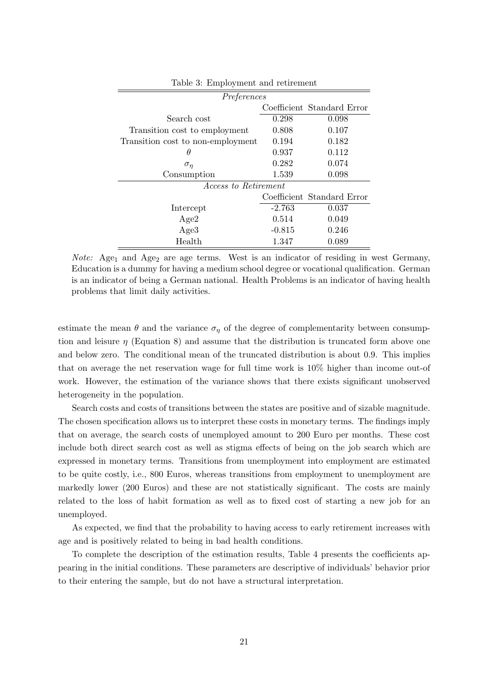| Preferences                       |          |                            |  |  |
|-----------------------------------|----------|----------------------------|--|--|
|                                   |          | Coefficient Standard Error |  |  |
| Search cost                       | 0.298    | 0.098                      |  |  |
| Transition cost to employment     | 0.808    | 0.107                      |  |  |
| Transition cost to non-employment | 0.194    | 0.182                      |  |  |
| θ                                 | 0.937    | 0.112                      |  |  |
| $\sigma_{\eta}$                   | 0.282    | 0.074                      |  |  |
| Consumption                       | 1.539    | 0.098                      |  |  |
| <i>Access to Retirement</i>       |          |                            |  |  |
|                                   |          | Coefficient Standard Error |  |  |
| Intercept                         | $-2.763$ | 0.037                      |  |  |
| Age2                              | 0.514    | 0.049                      |  |  |
| Age <sub>3</sub>                  | $-0.815$ | 0.246                      |  |  |
| Health                            | 1.347    | 0.089                      |  |  |

Table 3: Employment and retirement

*Note:* Age<sub>1</sub> and Age<sub>2</sub> are age terms. West is an indicator of residing in west Germany, Education is a dummy for having a medium school degree or vocational qualification. German is an indicator of being a German national. Health Problems is an indicator of having health problems that limit daily activities.

estimate the mean  $\theta$  and the variance  $\sigma_{\eta}$  of the degree of complementarity between consumption and leisure  $\eta$  (Equation 8) and assume that the distribution is truncated form above one and below zero. The conditional mean of the truncated distribution is about 0.9. This implies that on average the net reservation wage for full time work is 10% higher than income out-of work. However, the estimation of the variance shows that there exists significant unobserved heterogeneity in the population.

Search costs and costs of transitions between the states are positive and of sizable magnitude. The chosen specification allows us to interpret these costs in monetary terms. The findings imply that on average, the search costs of unemployed amount to 200 Euro per months. These cost include both direct search cost as well as stigma effects of being on the job search which are expressed in monetary terms. Transitions from unemployment into employment are estimated to be quite costly, i.e., 800 Euros, whereas transitions from employment to unemployment are markedly lower (200 Euros) and these are not statistically significant. The costs are mainly related to the loss of habit formation as well as to fixed cost of starting a new job for an unemployed.

As expected, we find that the probability to having access to early retirement increases with age and is positively related to being in bad health conditions.

To complete the description of the estimation results, Table 4 presents the coefficients appearing in the initial conditions. These parameters are descriptive of individuals' behavior prior to their entering the sample, but do not have a structural interpretation.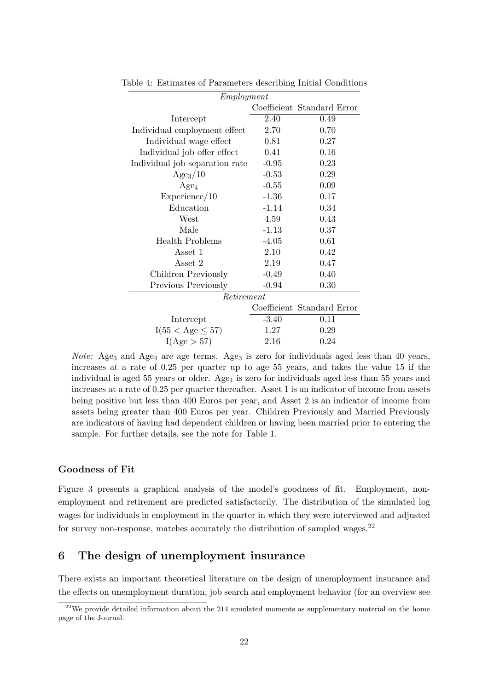| Employment                     |         |                            |  |  |
|--------------------------------|---------|----------------------------|--|--|
|                                |         | Coefficient Standard Error |  |  |
| Intercept                      | 2.40    | 0.49                       |  |  |
| Individual employment effect   | 2.70    | 0.70                       |  |  |
| Individual wage effect         | 0.81    | 0.27                       |  |  |
| Individual job offer effect    | 0.41    | 0.16                       |  |  |
| Individual job separation rate | $-0.95$ | 0.23                       |  |  |
| Age <sub>3</sub> /10           | $-0.53$ | 0.29                       |  |  |
| $Age_4$                        | $-0.55$ | 0.09                       |  |  |
| Experience/10                  | $-1.36$ | 0.17                       |  |  |
| Education                      | $-1.14$ | 0.34                       |  |  |
| West                           | 4.59    | 0.43                       |  |  |
| Male                           | $-1.13$ | 0.37                       |  |  |
| <b>Health Problems</b>         | $-4.05$ | 0.61                       |  |  |
| Asset 1                        | 2.10    | 0.42                       |  |  |
| Asset 2                        | 2.19    | 0.47                       |  |  |
| Children Previously            | $-0.49$ | 0.40                       |  |  |
| Previous Previously            | $-0.94$ | 0.30                       |  |  |
| Retirement                     |         |                            |  |  |
|                                |         | Coefficient Standard Error |  |  |
| Intercept                      | $-3.40$ | 0.11                       |  |  |
| $I(55 < \text{Age} \leq 57)$   | 1.27    | 0.29                       |  |  |
| I(Age > 57)                    | 2.16    | 0.24                       |  |  |

Table 4: Estimates of Parameters describing Initial Conditions

*Note:* Age<sub>3</sub> and Age<sub>4</sub> are age terms. Age<sub>3</sub> is zero for individuals aged less than 40 years, increases at a rate of 0.25 per quarter up to age 55 years, and takes the value 15 if the individual is aged 55 years or older. Age<sub>4</sub> is zero for individuals aged less than 55 years and increases at a rate of 0.25 per quarter thereafter. Asset 1 is an indicator of income from assets being positive but less than 400 Euros per year, and Asset 2 is an indicator of income from assets being greater than 400 Euros per year. Children Previously and Married Previously are indicators of having had dependent children or having been married prior to entering the sample. For further details, see the note for Table 1.

## Goodness of Fit

Figure 3 presents a graphical analysis of the model's goodness of fit. Employment, nonemployment and retirement are predicted satisfactorily. The distribution of the simulated log wages for individuals in employment in the quarter in which they were interviewed and adjusted for survey non-response, matches accurately the distribution of sampled wages. $22$ 

# 6 The design of unemployment insurance

There exists an important theoretical literature on the design of unemployment insurance and the effects on unemployment duration, job search and employment behavior (for an overview see

 $22$ We provide detailed information about the 214 simulated moments as supplementary material on the home page of the Journal.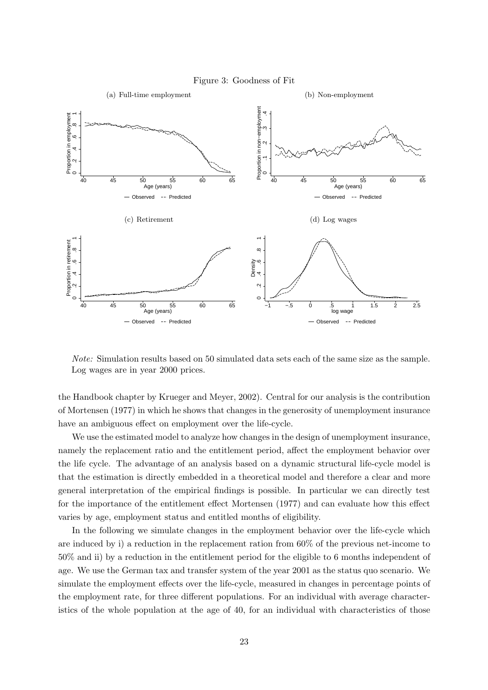

Note: Simulation results based on 50 simulated data sets each of the same size as the sample. Log wages are in year 2000 prices.

the Handbook chapter by Krueger and Meyer, 2002). Central for our analysis is the contribution of Mortensen (1977) in which he shows that changes in the generosity of unemployment insurance have an ambiguous effect on employment over the life-cycle.

We use the estimated model to analyze how changes in the design of unemployment insurance, namely the replacement ratio and the entitlement period, affect the employment behavior over the life cycle. The advantage of an analysis based on a dynamic structural life-cycle model is that the estimation is directly embedded in a theoretical model and therefore a clear and more general interpretation of the empirical findings is possible. In particular we can directly test for the importance of the entitlement effect Mortensen (1977) and can evaluate how this effect varies by age, employment status and entitled months of eligibility.

In the following we simulate changes in the employment behavior over the life-cycle which are induced by i) a reduction in the replacement ration from 60% of the previous net-income to 50% and ii) by a reduction in the entitlement period for the eligible to 6 months independent of age. We use the German tax and transfer system of the year 2001 as the status quo scenario. We simulate the employment effects over the life-cycle, measured in changes in percentage points of the employment rate, for three different populations. For an individual with average characteristics of the whole population at the age of 40, for an individual with characteristics of those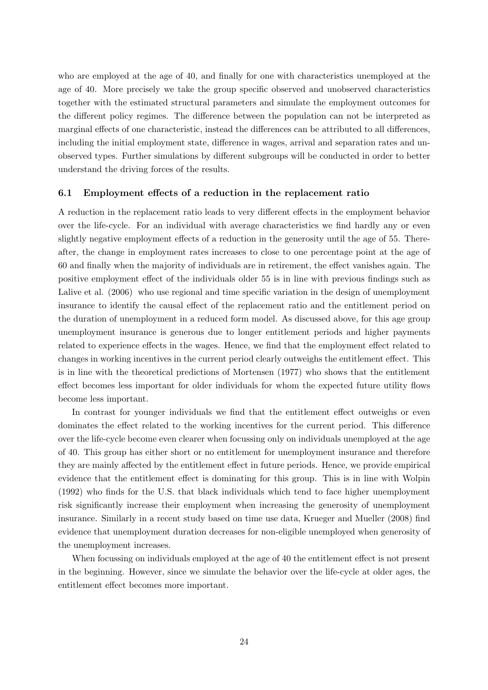who are employed at the age of 40, and finally for one with characteristics unemployed at the age of 40. More precisely we take the group specific observed and unobserved characteristics together with the estimated structural parameters and simulate the employment outcomes for the different policy regimes. The difference between the population can not be interpreted as marginal effects of one characteristic, instead the differences can be attributed to all differences, including the initial employment state, difference in wages, arrival and separation rates and unobserved types. Further simulations by different subgroups will be conducted in order to better understand the driving forces of the results.

## 6.1 Employment effects of a reduction in the replacement ratio

A reduction in the replacement ratio leads to very different effects in the employment behavior over the life-cycle. For an individual with average characteristics we find hardly any or even slightly negative employment effects of a reduction in the generosity until the age of 55. Thereafter, the change in employment rates increases to close to one percentage point at the age of 60 and finally when the majority of individuals are in retirement, the effect vanishes again. The positive employment effect of the individuals older 55 is in line with previous findings such as Lalive et al. (2006) who use regional and time specific variation in the design of unemployment insurance to identify the causal effect of the replacement ratio and the entitlement period on the duration of unemployment in a reduced form model. As discussed above, for this age group unemployment insurance is generous due to longer entitlement periods and higher payments related to experience effects in the wages. Hence, we find that the employment effect related to changes in working incentives in the current period clearly outweighs the entitlement effect. This is in line with the theoretical predictions of Mortensen (1977) who shows that the entitlement effect becomes less important for older individuals for whom the expected future utility flows become less important.

In contrast for younger individuals we find that the entitlement effect outweighs or even dominates the effect related to the working incentives for the current period. This difference over the life-cycle become even clearer when focussing only on individuals unemployed at the age of 40. This group has either short or no entitlement for unemployment insurance and therefore they are mainly affected by the entitlement effect in future periods. Hence, we provide empirical evidence that the entitlement effect is dominating for this group. This is in line with Wolpin (1992) who finds for the U.S. that black individuals which tend to face higher unemployment risk significantly increase their employment when increasing the generosity of unemployment insurance. Similarly in a recent study based on time use data, Krueger and Mueller (2008) find evidence that unemployment duration decreases for non-eligible unemployed when generosity of the unemployment increases.

When focussing on individuals employed at the age of 40 the entitlement effect is not present in the beginning. However, since we simulate the behavior over the life-cycle at older ages, the entitlement effect becomes more important.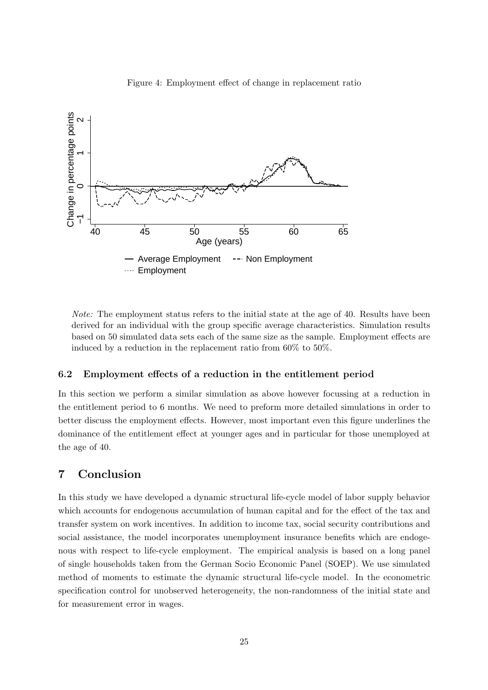

Figure 4: Employment effect of change in replacement ratio

Note: The employment status refers to the initial state at the age of 40. Results have been derived for an individual with the group specific average characteristics. Simulation results based on 50 simulated data sets each of the same size as the sample. Employment effects are induced by a reduction in the replacement ratio from 60% to 50%.

# 6.2 Employment effects of a reduction in the entitlement period

In this section we perform a similar simulation as above however focussing at a reduction in the entitlement period to 6 months. We need to preform more detailed simulations in order to better discuss the employment effects. However, most important even this figure underlines the dominance of the entitlement effect at younger ages and in particular for those unemployed at the age of 40.

# 7 Conclusion

In this study we have developed a dynamic structural life-cycle model of labor supply behavior which accounts for endogenous accumulation of human capital and for the effect of the tax and transfer system on work incentives. In addition to income tax, social security contributions and social assistance, the model incorporates unemployment insurance benefits which are endogenous with respect to life-cycle employment. The empirical analysis is based on a long panel of single households taken from the German Socio Economic Panel (SOEP). We use simulated method of moments to estimate the dynamic structural life-cycle model. In the econometric specification control for unobserved heterogeneity, the non-randomness of the initial state and for measurement error in wages.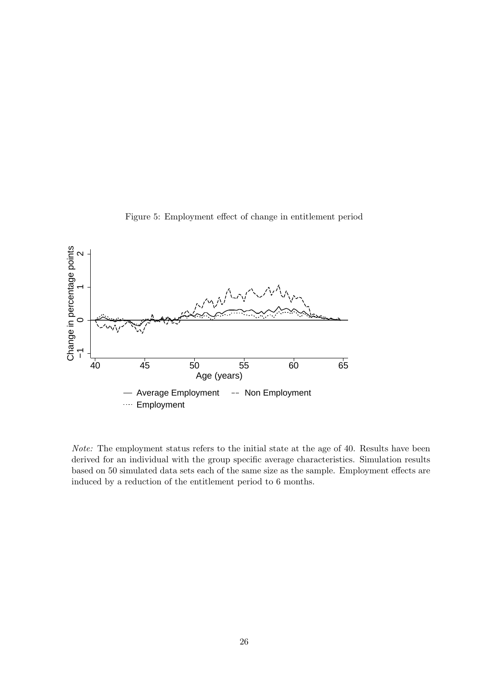

Figure 5: Employment effect of change in entitlement period

Note: The employment status refers to the initial state at the age of 40. Results have been derived for an individual with the group specific average characteristics. Simulation results based on 50 simulated data sets each of the same size as the sample. Employment effects are induced by a reduction of the entitlement period to 6 months.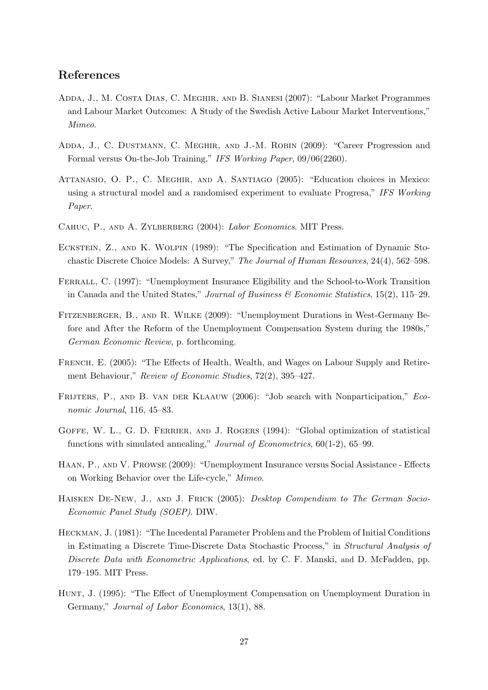# References

- Adda, J., M. Costa Dias, C. Meghir, and B. Sianesi (2007): "Labour Market Programmes and Labour Market Outcomes: A Study of the Swedish Active Labour Market Interventions," Mimeo.
- ADDA, J., C. DUSTMANN, C. MEGHIR, AND J.-M. ROBIN (2009): "Career Progression and Formal versus On-the-Job Training," IFS Working Paper, 09/06(2260).
- Attanasio, O. P., C. Meghir, and A. Santiago (2005): "Education choices in Mexico: using a structural model and a randomised experiment to evaluate Progresa," IFS Working Paper.
- CAHUC, P., AND A. ZYLBERBERG (2004): Labor Economics. MIT Press.
- ECKSTEIN, Z., AND K. WOLPIN (1989): "The Specification and Estimation of Dynamic Stochastic Discrete Choice Models: A Survey," The Journal of Human Resources, 24(4), 562–598.
- FERRALL, C. (1997): "Unemployment Insurance Eligibility and the School-to-Work Transition in Canada and the United States," Journal of Business & Economic Statistics, 15(2), 115–29.
- Fitzenberger, B., and R. Wilke (2009): "Unemployment Durations in West-Germany Before and After the Reform of the Unemployment Compensation System during the 1980s," German Economic Review, p. forthcoming.
- FRENCH, E. (2005): "The Effects of Health, Wealth, and Wages on Labour Supply and Retirement Behaviour," Review of Economic Studies, 72(2), 395–427.
- FRIJTERS, P., AND B. VAN DER KLAAUW (2006): "Job search with Nonparticipation," Economic Journal, 116, 45–83.
- GOFFE, W. L., G. D. FERRIER, AND J. ROGERS (1994): "Global optimization of statistical functions with simulated annealing," Journal of Econometrics, 60(1-2), 65–99.
- Haan, P., and V. Prowse (2009): "Unemployment Insurance versus Social Assistance Effects on Working Behavior over the Life-cycle," Mimeo.
- Haisken De-New, J., and J. Frick (2005): Desktop Compendium to The German Socio-Economic Panel Study (SOEP). DIW.
- Heckman, J. (1981): "The Incedental Parameter Problem and the Problem of Initial Conditions in Estimating a Discrete Time-Discrete Data Stochastic Process," in Structural Analysis of Discrete Data with Econometric Applications, ed. by C. F. Manski, and D. McFadden, pp. 179–195. MIT Press.
- Hunt, J. (1995): "The Effect of Unemployment Compensation on Unemployment Duration in Germany," Journal of Labor Economics, 13(1), 88.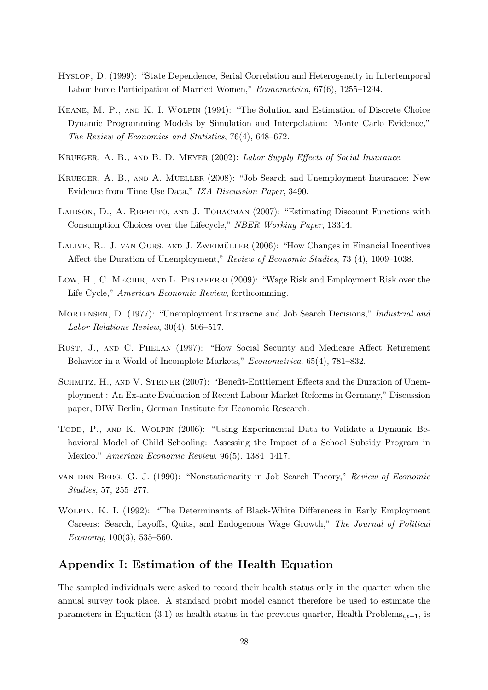- Hyslop, D. (1999): "State Dependence, Serial Correlation and Heterogeneity in Intertemporal Labor Force Participation of Married Women," Econometrica, 67(6), 1255–1294.
- Keane, M. P., and K. I. Wolpin (1994): "The Solution and Estimation of Discrete Choice Dynamic Programming Models by Simulation and Interpolation: Monte Carlo Evidence," The Review of Economics and Statistics, 76(4), 648–672.
- Krueger, A. B., and B. D. Meyer (2002): Labor Supply Effects of Social Insurance.
- Krueger, A. B., and A. Mueller (2008): "Job Search and Unemployment Insurance: New Evidence from Time Use Data," IZA Discussion Paper, 3490.
- LAIBSON, D., A. REPETTO, AND J. TOBACMAN (2007): "Estimating Discount Functions with Consumption Choices over the Lifecycle," NBER Working Paper, 13314.
- LALIVE, R., J. VAN OURS, AND J. ZWEIMÜLLER (2006): "How Changes in Financial Incentives Affect the Duration of Unemployment," Review of Economic Studies, 73 (4), 1009–1038.
- Low, H., C. MEGHIR, AND L. PISTAFERRI (2009): "Wage Risk and Employment Risk over the Life Cycle," *American Economic Review*, forthcomming.
- MORTENSEN, D. (1977): "Unemployment Insuracne and Job Search Decisions," *Industrial and* Labor Relations Review, 30(4), 506–517.
- Rust, J., and C. Phelan (1997): "How Social Security and Medicare Affect Retirement Behavior in a World of Incomplete Markets," Econometrica, 65(4), 781–832.
- SCHMITZ, H., AND V. STEINER (2007): "Benefit-Entitlement Effects and the Duration of Unemployment : An Ex-ante Evaluation of Recent Labour Market Reforms in Germany," Discussion paper, DIW Berlin, German Institute for Economic Research.
- TODD, P., AND K. WOLPIN (2006): "Using Experimental Data to Validate a Dynamic Behavioral Model of Child Schooling: Assessing the Impact of a School Subsidy Program in Mexico," American Economic Review, 96(5), 1384 1417.
- van den Berg, G. J. (1990): "Nonstationarity in Job Search Theory," Review of Economic Studies, 57, 255–277.
- Wolpin, K. I. (1992): "The Determinants of Black-White Differences in Early Employment Careers: Search, Layoffs, Quits, and Endogenous Wage Growth," The Journal of Political Economy,  $100(3)$ , 535–560.

# Appendix I: Estimation of the Health Equation

The sampled individuals were asked to record their health status only in the quarter when the annual survey took place. A standard probit model cannot therefore be used to estimate the parameters in Equation (3.1) as health status in the previous quarter, Health Problems<sub>i $t-1$ </sub>, is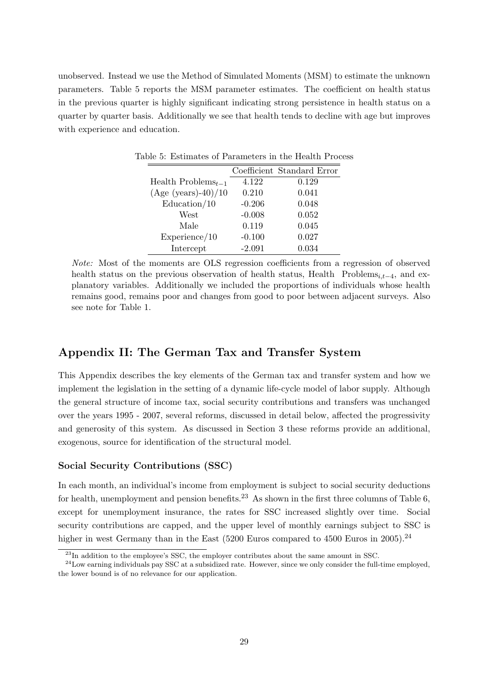unobserved. Instead we use the Method of Simulated Moments (MSM) to estimate the unknown parameters. Table 5 reports the MSM parameter estimates. The coefficient on health status in the previous quarter is highly significant indicating strong persistence in health status on a quarter by quarter basis. Additionally we see that health tends to decline with age but improves with experience and education.

|                          |          | Coefficient Standard Error |
|--------------------------|----------|----------------------------|
| Health Problems $_{t-1}$ | 4.122    | 0.129                      |
| $(Age (years)-40)/10$    | 0.210    | 0.041                      |
| Education/10             | $-0.206$ | 0.048                      |
| West                     | $-0.008$ | 0.052                      |
| Male                     | 0.119    | 0.045                      |
| Experience/10            | $-0.100$ | 0.027                      |
| Intercept                | $-2.091$ | 0.034                      |

Table 5: Estimates of Parameters in the Health Process

Note: Most of the moments are OLS regression coefficients from a regression of observed health status on the previous observation of health status, Health Problems<sub>i,t−4</sub>, and explanatory variables. Additionally we included the proportions of individuals whose health remains good, remains poor and changes from good to poor between adjacent surveys. Also see note for Table 1.

# Appendix II: The German Tax and Transfer System

This Appendix describes the key elements of the German tax and transfer system and how we implement the legislation in the setting of a dynamic life-cycle model of labor supply. Although the general structure of income tax, social security contributions and transfers was unchanged over the years 1995 - 2007, several reforms, discussed in detail below, affected the progressivity and generosity of this system. As discussed in Section 3 these reforms provide an additional, exogenous, source for identification of the structural model.

## Social Security Contributions (SSC)

In each month, an individual's income from employment is subject to social security deductions for health, unemployment and pension benefits.<sup>23</sup> As shown in the first three columns of Table 6, except for unemployment insurance, the rates for SSC increased slightly over time. Social security contributions are capped, and the upper level of monthly earnings subject to SSC is higher in west Germany than in the East  $(5200)$  Euros compared to 4500 Euros in 2005).<sup>24</sup>

<sup>23</sup>In addition to the employee's SSC, the employer contributes about the same amount in SSC.

 $^{24}$ Low earning individuals pay SSC at a subsidized rate. However, since we only consider the full-time employed, the lower bound is of no relevance for our application.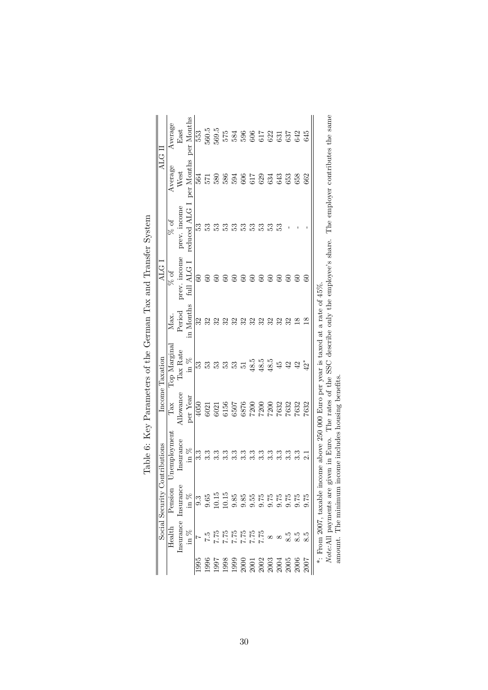|                                      |          | Social Security    | tributions<br>5<br>S                                                                                                                                                                                                                                                              |                                  | Income Taxation        |               | ALG <sub>1</sub> |              | ALG I      |                                                                         |
|--------------------------------------|----------|--------------------|-----------------------------------------------------------------------------------------------------------------------------------------------------------------------------------------------------------------------------------------------------------------------------------|----------------------------------|------------------------|---------------|------------------|--------------|------------|-------------------------------------------------------------------------|
|                                      | Health   | Pension            | nemployment                                                                                                                                                                                                                                                                       | Tax                              | Top Marginal           | Мaх.          | % of             | $%$ of       | Average    | Average                                                                 |
|                                      |          | nsurance Insurance | Insurance                                                                                                                                                                                                                                                                         | Allowance                        | Tax Rate               | Period        | prev. income     | prev. income | West       | East                                                                    |
|                                      | in $\%$  | in $%$             | in $%$                                                                                                                                                                                                                                                                            | per Year                         | $\sin \frac{\pi x}{2}$ | in Months     | full ALG I       | reduced ALG  | per Months | per Months                                                              |
| 1995                                 |          | $9.\overline{3}$   |                                                                                                                                                                                                                                                                                   | 4050                             | RS.                    | ೫             |                  | 53           | 564        | 553                                                                     |
| 1996                                 |          | 0.65               |                                                                                                                                                                                                                                                                                   | 6021                             | E                      |               |                  |              | 571        | 560.5                                                                   |
| <b>L661</b>                          | 7.75     | 10.15              |                                                                                                                                                                                                                                                                                   | 6021                             | S3                     |               |                  | ఔ            | 580        | 569.5                                                                   |
| 1998                                 | 7.75     | 10.15              |                                                                                                                                                                                                                                                                                   | 6156                             | ES.                    |               |                  | 53           | 586        |                                                                         |
| 1999                                 | 7.75     | 9.85               | ು                                                                                                                                                                                                                                                                                 |                                  | 53                     | 32            |                  | ES           | 594        |                                                                         |
|                                      | 7.75     | 9.85               | 3.3                                                                                                                                                                                                                                                                               |                                  | 51                     | 32            | $\mathbb{S}^1$   | ES           | 606        |                                                                         |
| $\frac{5}{2}$                        | 7.75     | 0.55               |                                                                                                                                                                                                                                                                                   |                                  | 48.5                   | 32            | 60               | 33           | 617        |                                                                         |
|                                      | 7.75     | 9.75               |                                                                                                                                                                                                                                                                                   |                                  | 48.5                   |               | $\rm{S}$         | E            | 629        |                                                                         |
| 3003<br>2003<br>2004                 | $\infty$ | 9.75               | $3.\overline{3}$                                                                                                                                                                                                                                                                  |                                  | 48.5                   | 32            | $\infty$         | ES           | 634        |                                                                         |
|                                      | $\infty$ |                    |                                                                                                                                                                                                                                                                                   | 6507<br>6870<br>68720833<br>7632 | 45                     | 32            |                  | ಜಿ           | 643        | $\begin{array}{l} 57546667 \\ 5846667 \\ 69513 \\ 69524 \\ \end{array}$ |
| 2005                                 |          | $0.75$<br>$0.75$   |                                                                                                                                                                                                                                                                                   |                                  | 42                     | 32            |                  |              | 653        |                                                                         |
| 200 <sup><math>\epsilon</math></sup> |          | 9.75               | ು.                                                                                                                                                                                                                                                                                | 7632                             | $\overline{42}$        |               |                  |              | 658        | 642                                                                     |
|                                      | 8.5      | 0.75               |                                                                                                                                                                                                                                                                                   | 7632                             | $42^*$                 | $\frac{8}{2}$ |                  |              | 662        | 645                                                                     |
|                                      |          |                    | Note:All payments are given in Euro. The rates of the SSC describe only the employee's share. The employer contributes the same<br>*: From 2007, taxable income above 250 000 Euro per year is taxed at a rate of $45\%$<br>amount. The minimum income includes housing benefits. |                                  |                        |               |                  |              |            |                                                                         |
|                                      |          |                    |                                                                                                                                                                                                                                                                                   |                                  |                        |               |                  |              |            |                                                                         |

| Ì                                                                      |  |
|------------------------------------------------------------------------|--|
| į<br>ì<br>I<br>ı<br>l                                                  |  |
| $\operatorname{tax}$ and<br>ŀ                                          |  |
| $\ddot{\phantom{0}}$<br> <br> <br> <br> <br> <br> <br>;<br>;<br>Ì<br>l |  |
| $-2$ $+$ $+$ $+$<br>)<br> <br> <br>.<br>ל<br>ć                         |  |
| č<br>j<br>į<br>i                                                       |  |
| $\overline{C}$<br>l                                                    |  |
| j<br>Ì                                                                 |  |

30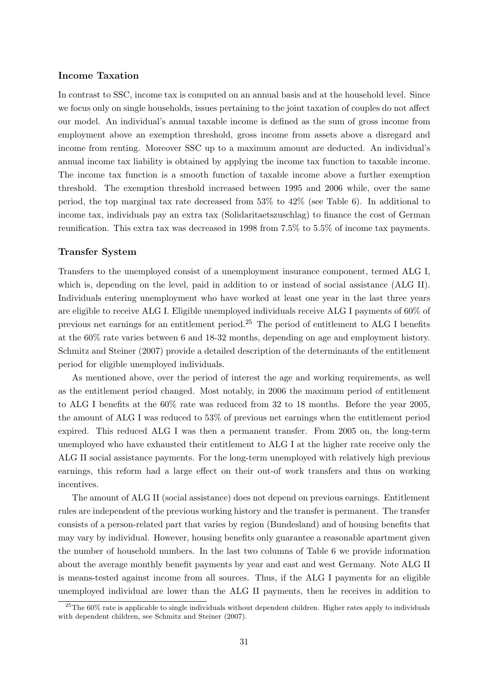## Income Taxation

In contrast to SSC, income tax is computed on an annual basis and at the household level. Since we focus only on single households, issues pertaining to the joint taxation of couples do not affect our model. An individual's annual taxable income is defined as the sum of gross income from employment above an exemption threshold, gross income from assets above a disregard and income from renting. Moreover SSC up to a maximum amount are deducted. An individual's annual income tax liability is obtained by applying the income tax function to taxable income. The income tax function is a smooth function of taxable income above a further exemption threshold. The exemption threshold increased between 1995 and 2006 while, over the same period, the top marginal tax rate decreased from 53% to 42% (see Table 6). In additional to income tax, individuals pay an extra tax (Solidaritaetszuschlag) to finance the cost of German reunification. This extra tax was decreased in 1998 from 7.5% to 5.5% of income tax payments.

#### Transfer System

Transfers to the unemployed consist of a unemployment insurance component, termed ALG I, which is, depending on the level, paid in addition to or instead of social assistance (ALG II). Individuals entering unemployment who have worked at least one year in the last three years are eligible to receive ALG I. Eligible unemployed individuals receive ALG I payments of 60% of previous net earnings for an entitlement period.<sup>25</sup> The period of entitlement to ALG I benefits at the 60% rate varies between 6 and 18-32 months, depending on age and employment history. Schmitz and Steiner (2007) provide a detailed description of the determinants of the entitlement period for eligible unemployed individuals.

As mentioned above, over the period of interest the age and working requirements, as well as the entitlement period changed. Most notably, in 2006 the maximum period of entitlement to ALG I benefits at the 60% rate was reduced from 32 to 18 months. Before the year 2005, the amount of ALG I was reduced to 53% of previous net earnings when the entitlement period expired. This reduced ALG I was then a permanent transfer. From 2005 on, the long-term unemployed who have exhausted their entitlement to ALG I at the higher rate receive only the ALG II social assistance payments. For the long-term unemployed with relatively high previous earnings, this reform had a large effect on their out-of work transfers and thus on working incentives.

The amount of ALG II (social assistance) does not depend on previous earnings. Entitlement rules are independent of the previous working history and the transfer is permanent. The transfer consists of a person-related part that varies by region (Bundesland) and of housing benefits that may vary by individual. However, housing benefits only guarantee a reasonable apartment given the number of household numbers. In the last two columns of Table 6 we provide information about the average monthly benefit payments by year and east and west Germany. Note ALG II is means-tested against income from all sources. Thus, if the ALG I payments for an eligible unemployed individual are lower than the ALG II payments, then he receives in addition to

 $^{25}$ The 60% rate is applicable to single individuals without dependent children. Higher rates apply to individuals with dependent children, see Schmitz and Steiner (2007).